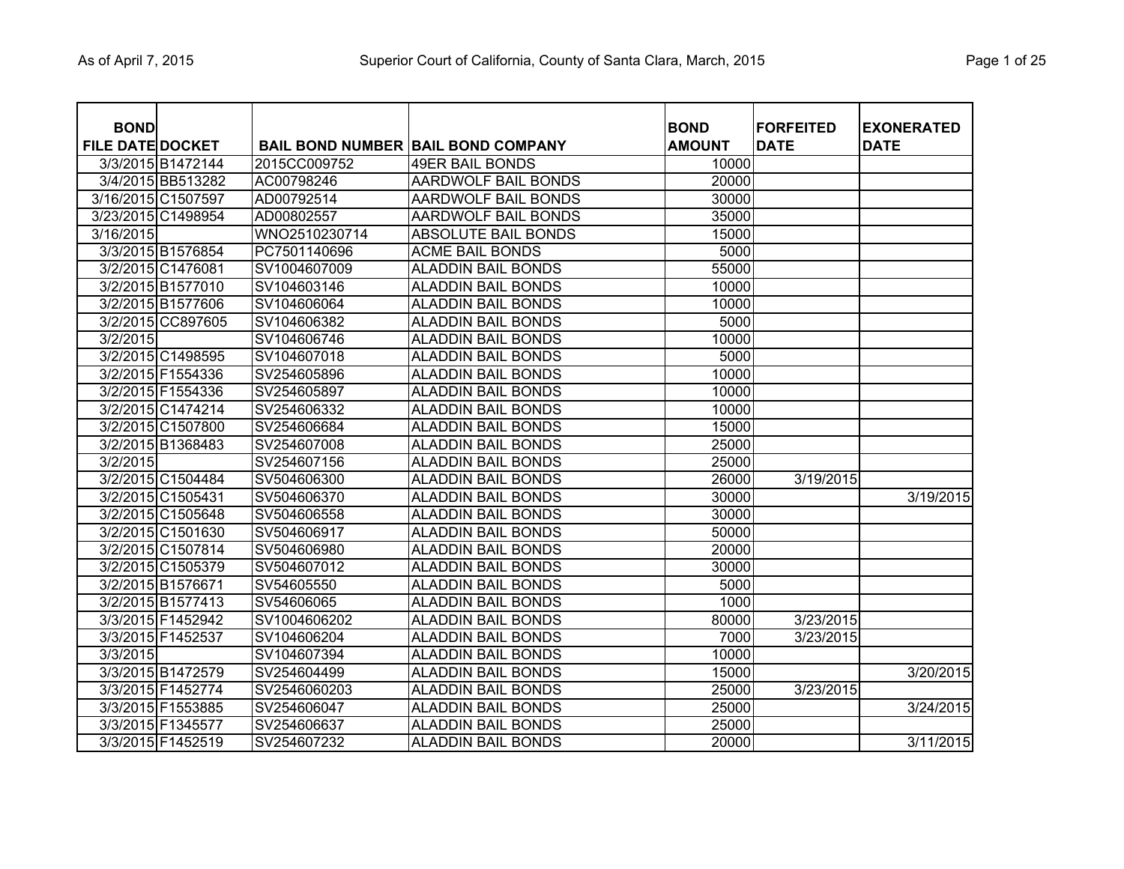**BOND** 

**BOND** 

**FORFEITED** 

| FILE DATE DOCKET |                    |               | <b>BAIL BOND NUMBER BAIL BOND COMPANY</b> | <b>AMOUNT</b> | <b>DATE</b> | <b>DATE</b> |
|------------------|--------------------|---------------|-------------------------------------------|---------------|-------------|-------------|
|                  | 3/3/2015 B1472144  | 2015CC009752  | 49ER BAIL BONDS                           | 10000         |             |             |
|                  | 3/4/2015 BB513282  | AC00798246    | <b>AARDWOLF BAIL BONDS</b>                | 20000         |             |             |
|                  | 3/16/2015 C1507597 | AD00792514    | <b>AARDWOLF BAIL BONDS</b>                | 30000         |             |             |
|                  | 3/23/2015 C1498954 | AD00802557    | AARDWOLF BAIL BONDS                       | 35000         |             |             |
| 3/16/2015        |                    | WNO2510230714 | <b>ABSOLUTE BAIL BONDS</b>                | 15000         |             |             |
|                  | 3/3/2015 B1576854  | PC7501140696  | <b>ACME BAIL BONDS</b>                    | 5000          |             |             |
|                  | 3/2/2015 C1476081  | SV1004607009  | <b>ALADDIN BAIL BONDS</b>                 | 55000         |             |             |
|                  | 3/2/2015 B1577010  | SV104603146   | <b>ALADDIN BAIL BONDS</b>                 | 10000         |             |             |
|                  | 3/2/2015 B1577606  | SV104606064   | <b>ALADDIN BAIL BONDS</b>                 | 10000         |             |             |
|                  | 3/2/2015 CC897605  | SV104606382   | <b>ALADDIN BAIL BONDS</b>                 | 5000          |             |             |
| 3/2/2015         |                    | SV104606746   | <b>ALADDIN BAIL BONDS</b>                 | 10000         |             |             |
|                  | 3/2/2015 C1498595  | SV104607018   | <b>ALADDIN BAIL BONDS</b>                 | 5000          |             |             |
|                  | 3/2/2015 F1554336  | SV254605896   | <b>ALADDIN BAIL BONDS</b>                 | 10000         |             |             |
|                  | 3/2/2015 F1554336  | SV254605897   | <b>ALADDIN BAIL BONDS</b>                 | 10000         |             |             |
|                  | 3/2/2015 C1474214  | SV254606332   | <b>ALADDIN BAIL BONDS</b>                 | 10000         |             |             |
|                  | 3/2/2015 C1507800  | SV254606684   | <b>ALADDIN BAIL BONDS</b>                 | 15000         |             |             |
|                  | 3/2/2015 B1368483  | SV254607008   | <b>ALADDIN BAIL BONDS</b>                 | 25000         |             |             |
| 3/2/2015         |                    | SV254607156   | <b>ALADDIN BAIL BONDS</b>                 | 25000         |             |             |
|                  | 3/2/2015 C1504484  | SV504606300   | <b>ALADDIN BAIL BONDS</b>                 | 26000         | 3/19/2015   |             |
|                  | 3/2/2015 C1505431  | SV504606370   | <b>ALADDIN BAIL BONDS</b>                 | 30000         |             | 3/19/2015   |
|                  | 3/2/2015 C1505648  | SV504606558   | <b>ALADDIN BAIL BONDS</b>                 | 30000         |             |             |
|                  | 3/2/2015 C1501630  | SV504606917   | <b>ALADDIN BAIL BONDS</b>                 | 50000         |             |             |
|                  | 3/2/2015 C1507814  | SV504606980   | <b>ALADDIN BAIL BONDS</b>                 | 20000         |             |             |
|                  | 3/2/2015 C1505379  | SV504607012   | <b>ALADDIN BAIL BONDS</b>                 | 30000         |             |             |
|                  | 3/2/2015 B1576671  | SV54605550    | <b>ALADDIN BAIL BONDS</b>                 | 5000          |             |             |
|                  | 3/2/2015 B1577413  | SV54606065    | <b>ALADDIN BAIL BONDS</b>                 | 1000          |             |             |
|                  | 3/3/2015 F1452942  | SV1004606202  | <b>ALADDIN BAIL BONDS</b>                 | 80000         | 3/23/2015   |             |
|                  | 3/3/2015 F1452537  | SV104606204   | <b>ALADDIN BAIL BONDS</b>                 | 7000          | 3/23/2015   |             |
| 3/3/2015         |                    | SV104607394   | <b>ALADDIN BAIL BONDS</b>                 | 10000         |             |             |
|                  | 3/3/2015 B1472579  | SV254604499   | <b>ALADDIN BAIL BONDS</b>                 | 15000         |             | 3/20/2015   |
|                  | 3/3/2015 F1452774  | SV2546060203  | <b>ALADDIN BAIL BONDS</b>                 | 25000         | 3/23/2015   |             |
|                  | 3/3/2015 F1553885  | SV254606047   | <b>ALADDIN BAIL BONDS</b>                 | 25000         |             | 3/24/2015   |
|                  | 3/3/2015 F1345577  | SV254606637   | <b>ALADDIN BAIL BONDS</b>                 | 25000         |             |             |
|                  | 3/3/2015 F1452519  | SV254607232   | <b>ALADDIN BAIL BONDS</b>                 | 20000         |             | 3/11/2015   |

**EXONERATED**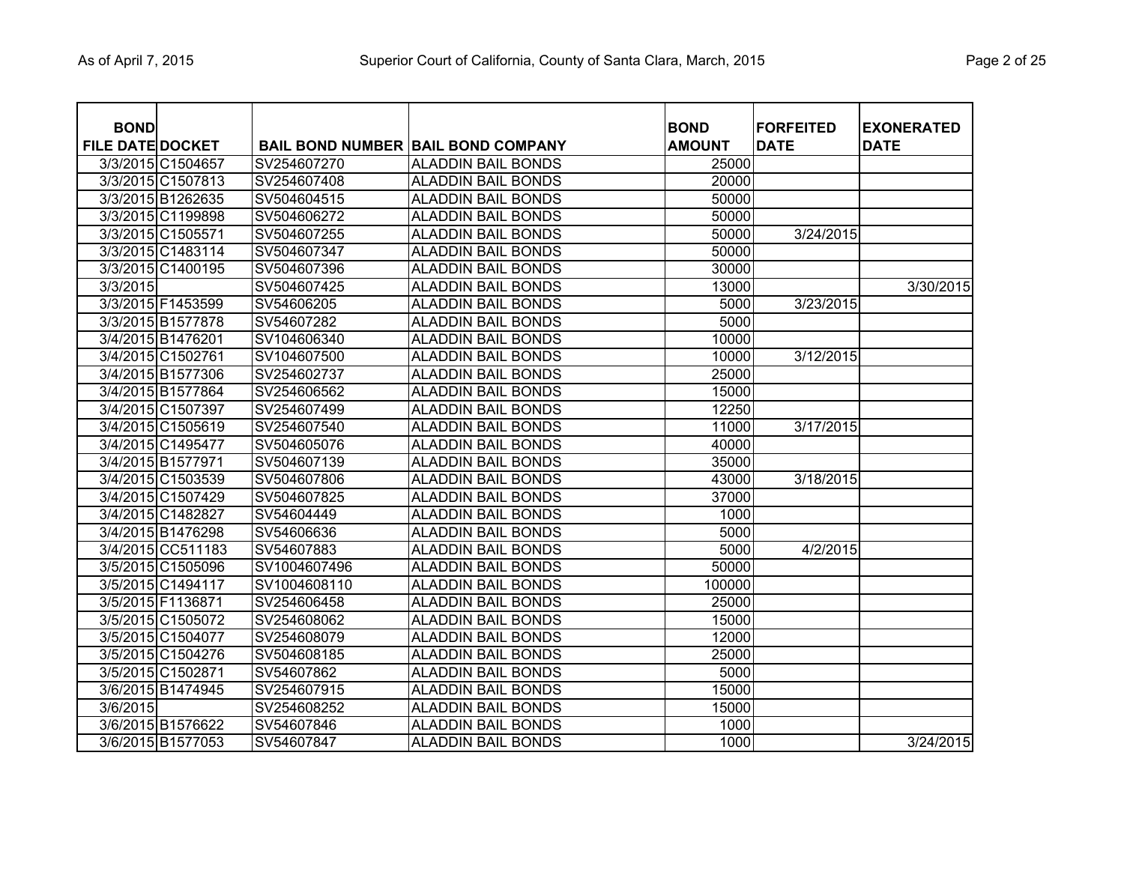| Page 2 of 25 |  |  |
|--------------|--|--|
|              |  |  |

| <b>BOND</b><br><b>FILE DATE DOCKET</b> |                   |              | <b>BAIL BOND NUMBER BAIL BOND COMPANY</b> | <b>BOND</b><br><b>AMOUNT</b> | <b>FORFEITED</b><br><b>DATE</b> | <b>EXONERATED</b><br><b>DATE</b> |
|----------------------------------------|-------------------|--------------|-------------------------------------------|------------------------------|---------------------------------|----------------------------------|
|                                        | 3/3/2015 C1504657 | SV254607270  | <b>ALADDIN BAIL BONDS</b>                 | 25000                        |                                 |                                  |
|                                        | 3/3/2015 C1507813 | SV254607408  | <b>ALADDIN BAIL BONDS</b>                 | 20000                        |                                 |                                  |
|                                        | 3/3/2015 B1262635 | SV504604515  | <b>ALADDIN BAIL BONDS</b>                 | 50000                        |                                 |                                  |
|                                        | 3/3/2015 C1199898 | SV504606272  | <b>ALADDIN BAIL BONDS</b>                 | 50000                        |                                 |                                  |
|                                        | 3/3/2015 C1505571 | SV504607255  | <b>ALADDIN BAIL BONDS</b>                 | 50000                        | 3/24/2015                       |                                  |
|                                        | 3/3/2015 C1483114 | SV504607347  | <b>ALADDIN BAIL BONDS</b>                 | 50000                        |                                 |                                  |
|                                        | 3/3/2015 C1400195 | SV504607396  | <b>ALADDIN BAIL BONDS</b>                 | 30000                        |                                 |                                  |
| 3/3/2015                               |                   | SV504607425  | <b>ALADDIN BAIL BONDS</b>                 | 13000                        |                                 | 3/30/2015                        |
|                                        | 3/3/2015 F1453599 | SV54606205   | <b>ALADDIN BAIL BONDS</b>                 | 5000                         | 3/23/2015                       |                                  |
|                                        | 3/3/2015 B1577878 | SV54607282   | <b>ALADDIN BAIL BONDS</b>                 | 5000                         |                                 |                                  |
|                                        | 3/4/2015 B1476201 | SV104606340  | <b>ALADDIN BAIL BONDS</b>                 | 10000                        |                                 |                                  |
|                                        | 3/4/2015 C1502761 | SV104607500  | <b>ALADDIN BAIL BONDS</b>                 | 10000                        | 3/12/2015                       |                                  |
|                                        | 3/4/2015 B1577306 | SV254602737  | <b>ALADDIN BAIL BONDS</b>                 | 25000                        |                                 |                                  |
|                                        | 3/4/2015 B1577864 | SV254606562  | <b>ALADDIN BAIL BONDS</b>                 | 15000                        |                                 |                                  |
|                                        | 3/4/2015 C1507397 | SV254607499  | <b>ALADDIN BAIL BONDS</b>                 | 12250                        |                                 |                                  |
|                                        | 3/4/2015 C1505619 | SV254607540  | <b>ALADDIN BAIL BONDS</b>                 | 11000                        | 3/17/2015                       |                                  |
|                                        | 3/4/2015 C1495477 | SV504605076  | <b>ALADDIN BAIL BONDS</b>                 | 40000                        |                                 |                                  |
|                                        | 3/4/2015 B1577971 | SV504607139  | <b>ALADDIN BAIL BONDS</b>                 | 35000                        |                                 |                                  |
|                                        | 3/4/2015 C1503539 | SV504607806  | <b>ALADDIN BAIL BONDS</b>                 | 43000                        | 3/18/2015                       |                                  |
|                                        | 3/4/2015 C1507429 | SV504607825  | <b>ALADDIN BAIL BONDS</b>                 | 37000                        |                                 |                                  |
|                                        | 3/4/2015 C1482827 | SV54604449   | <b>ALADDIN BAIL BONDS</b>                 | 1000                         |                                 |                                  |
|                                        | 3/4/2015 B1476298 | SV54606636   | <b>ALADDIN BAIL BONDS</b>                 | 5000                         |                                 |                                  |
|                                        | 3/4/2015 CC511183 | SV54607883   | <b>ALADDIN BAIL BONDS</b>                 | 5000                         | 4/2/2015                        |                                  |
|                                        | 3/5/2015 C1505096 | SV1004607496 | <b>ALADDIN BAIL BONDS</b>                 | 50000                        |                                 |                                  |
|                                        | 3/5/2015 C1494117 | SV1004608110 | <b>ALADDIN BAIL BONDS</b>                 | 100000                       |                                 |                                  |
|                                        | 3/5/2015 F1136871 | SV254606458  | <b>ALADDIN BAIL BONDS</b>                 | 25000                        |                                 |                                  |
|                                        | 3/5/2015 C1505072 | SV254608062  | <b>ALADDIN BAIL BONDS</b>                 | 15000                        |                                 |                                  |
|                                        | 3/5/2015 C1504077 | SV254608079  | <b>ALADDIN BAIL BONDS</b>                 | 12000                        |                                 |                                  |
|                                        | 3/5/2015 C1504276 | SV504608185  | <b>ALADDIN BAIL BONDS</b>                 | 25000                        |                                 |                                  |
|                                        | 3/5/2015 C1502871 | SV54607862   | <b>ALADDIN BAIL BONDS</b>                 | 5000                         |                                 |                                  |
|                                        | 3/6/2015 B1474945 | SV254607915  | <b>ALADDIN BAIL BONDS</b>                 | 15000                        |                                 |                                  |
| 3/6/2015                               |                   | SV254608252  | <b>ALADDIN BAIL BONDS</b>                 | 15000                        |                                 |                                  |
|                                        | 3/6/2015 B1576622 | SV54607846   | <b>ALADDIN BAIL BONDS</b>                 | 1000                         |                                 |                                  |
|                                        | 3/6/2015 B1577053 | SV54607847   | <b>ALADDIN BAIL BONDS</b>                 | 1000                         |                                 | 3/24/2015                        |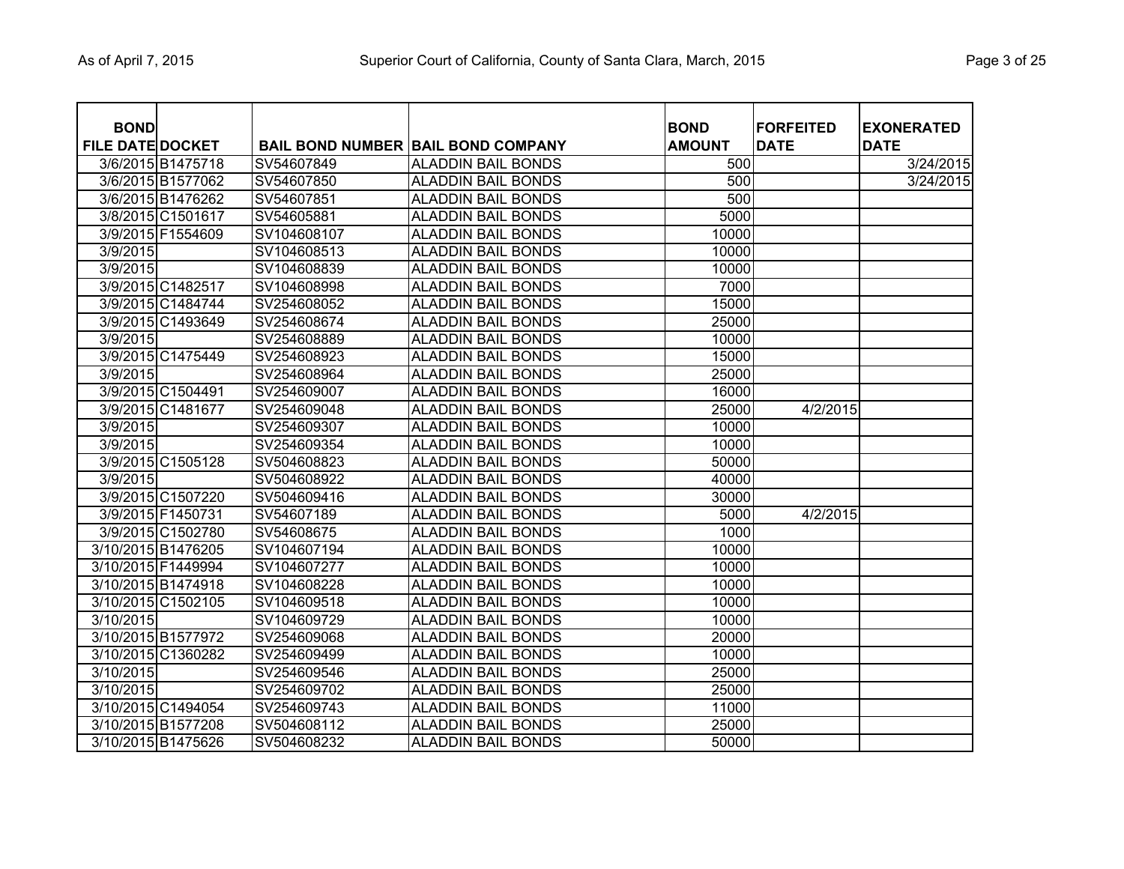| <b>BOND</b>             |                    |             |                                           | <b>BOND</b>   | <b>FORFEITED</b> | <b>EXONERATED</b> |
|-------------------------|--------------------|-------------|-------------------------------------------|---------------|------------------|-------------------|
| <b>FILE DATE DOCKET</b> |                    |             | <b>BAIL BOND NUMBER BAIL BOND COMPANY</b> | <b>AMOUNT</b> | <b>DATE</b>      | <b>DATE</b>       |
|                         | 3/6/2015 B1475718  | SV54607849  | <b>ALADDIN BAIL BONDS</b>                 | 500           |                  | 3/24/2015         |
|                         | 3/6/2015 B1577062  | SV54607850  | <b>ALADDIN BAIL BONDS</b>                 | 500           |                  | 3/24/2015         |
|                         | 3/6/2015 B1476262  | SV54607851  | <b>ALADDIN BAIL BONDS</b>                 | 500           |                  |                   |
|                         | 3/8/2015 C1501617  | SV54605881  | <b>ALADDIN BAIL BONDS</b>                 | 5000          |                  |                   |
|                         | 3/9/2015 F1554609  | SV104608107 | <b>ALADDIN BAIL BONDS</b>                 | 10000         |                  |                   |
| 3/9/2015                |                    | SV104608513 | <b>ALADDIN BAIL BONDS</b>                 | 10000         |                  |                   |
| 3/9/2015                |                    | SV104608839 | <b>ALADDIN BAIL BONDS</b>                 | 10000         |                  |                   |
|                         | 3/9/2015 C1482517  | SV104608998 | <b>ALADDIN BAIL BONDS</b>                 | 7000          |                  |                   |
|                         | 3/9/2015 C1484744  | SV254608052 | <b>ALADDIN BAIL BONDS</b>                 | 15000         |                  |                   |
|                         | 3/9/2015 C1493649  | SV254608674 | <b>ALADDIN BAIL BONDS</b>                 | 25000         |                  |                   |
| 3/9/2015                |                    | SV254608889 | <b>ALADDIN BAIL BONDS</b>                 | 10000         |                  |                   |
|                         | 3/9/2015 C1475449  | SV254608923 | <b>ALADDIN BAIL BONDS</b>                 | 15000         |                  |                   |
| 3/9/2015                |                    | SV254608964 | <b>ALADDIN BAIL BONDS</b>                 | 25000         |                  |                   |
|                         | 3/9/2015 C1504491  | SV254609007 | <b>ALADDIN BAIL BONDS</b>                 | 16000         |                  |                   |
|                         | 3/9/2015 C1481677  | SV254609048 | <b>ALADDIN BAIL BONDS</b>                 | 25000         | 4/2/2015         |                   |
| 3/9/2015                |                    | SV254609307 | <b>ALADDIN BAIL BONDS</b>                 | 10000         |                  |                   |
| 3/9/2015                |                    | SV254609354 | <b>ALADDIN BAIL BONDS</b>                 | 10000         |                  |                   |
|                         | 3/9/2015 C1505128  | SV504608823 | <b>ALADDIN BAIL BONDS</b>                 | 50000         |                  |                   |
| 3/9/2015                |                    | SV504608922 | <b>ALADDIN BAIL BONDS</b>                 | 40000         |                  |                   |
|                         | 3/9/2015 C1507220  | SV504609416 | <b>ALADDIN BAIL BONDS</b>                 | 30000         |                  |                   |
|                         | 3/9/2015 F1450731  | SV54607189  | <b>ALADDIN BAIL BONDS</b>                 | 5000          | 4/2/2015         |                   |
|                         | 3/9/2015 C1502780  | SV54608675  | <b>ALADDIN BAIL BONDS</b>                 | 1000          |                  |                   |
|                         | 3/10/2015 B1476205 | SV104607194 | <b>ALADDIN BAIL BONDS</b>                 | 10000         |                  |                   |
|                         | 3/10/2015 F1449994 | SV104607277 | <b>ALADDIN BAIL BONDS</b>                 | 10000         |                  |                   |
|                         | 3/10/2015 B1474918 | SV104608228 | <b>ALADDIN BAIL BONDS</b>                 | 10000         |                  |                   |
|                         | 3/10/2015 C1502105 | SV104609518 | <b>ALADDIN BAIL BONDS</b>                 | 10000         |                  |                   |
| 3/10/2015               |                    | SV104609729 | <b>ALADDIN BAIL BONDS</b>                 | 10000         |                  |                   |
|                         | 3/10/2015 B1577972 | SV254609068 | <b>ALADDIN BAIL BONDS</b>                 | 20000         |                  |                   |
|                         | 3/10/2015 C1360282 | SV254609499 | <b>ALADDIN BAIL BONDS</b>                 | 10000         |                  |                   |
| 3/10/2015               |                    | SV254609546 | <b>ALADDIN BAIL BONDS</b>                 | 25000         |                  |                   |
| 3/10/2015               |                    | SV254609702 | <b>ALADDIN BAIL BONDS</b>                 | 25000         |                  |                   |
|                         | 3/10/2015 C1494054 | SV254609743 | <b>ALADDIN BAIL BONDS</b>                 | 11000         |                  |                   |
|                         | 3/10/2015 B1577208 | SV504608112 | <b>ALADDIN BAIL BONDS</b>                 | 25000         |                  |                   |
|                         | 3/10/2015 B1475626 | SV504608232 | <b>ALADDIN BAIL BONDS</b>                 | 50000         |                  |                   |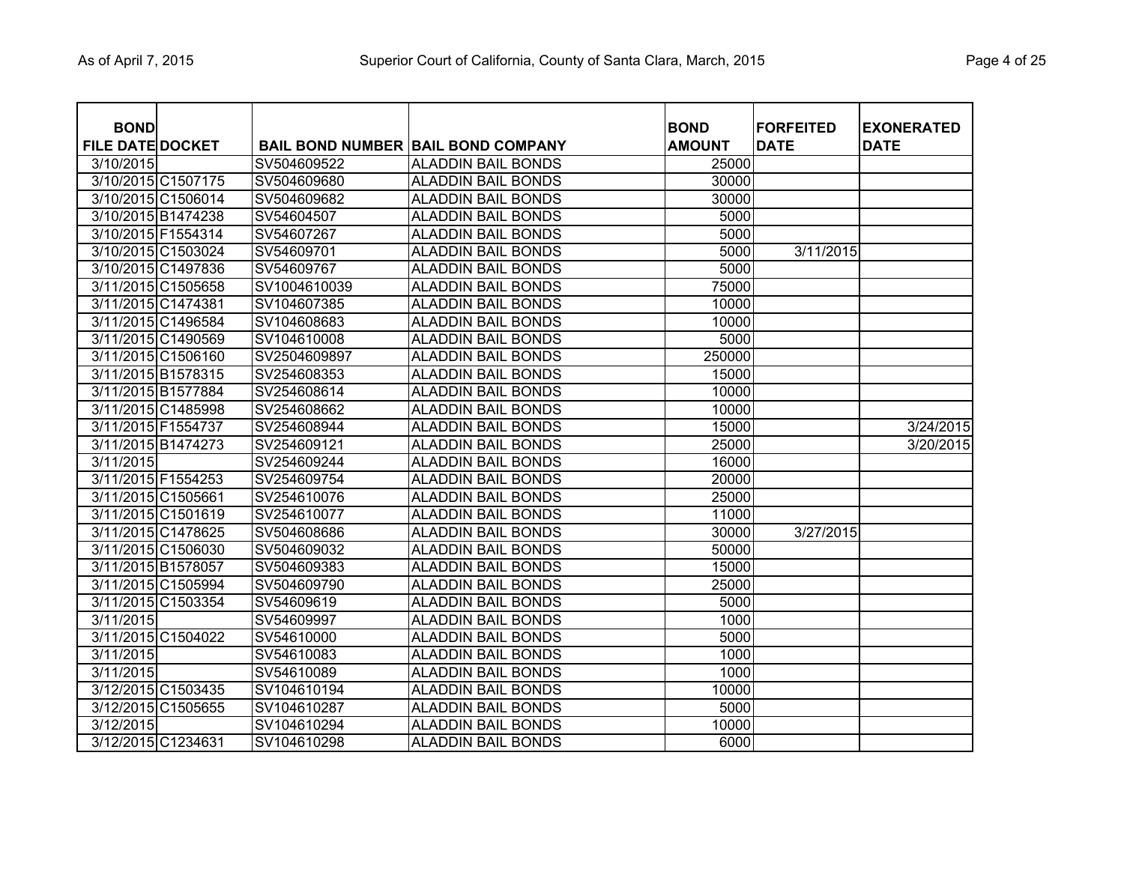| <b>BOND</b><br><b>FILE DATE DOCKET</b> |              | <b>BAIL BOND NUMBER BAIL BOND COMPANY</b> | <b>BOND</b><br><b>AMOUNT</b> | <b>FORFEITED</b><br><b>DATE</b> | <b>EXONERATED</b><br><b>DATE</b> |
|----------------------------------------|--------------|-------------------------------------------|------------------------------|---------------------------------|----------------------------------|
| 3/10/2015                              | SV504609522  | <b>ALADDIN BAIL BONDS</b>                 | 25000                        |                                 |                                  |
| 3/10/2015 C1507175                     | SV504609680  | <b>ALADDIN BAIL BONDS</b>                 | 30000                        |                                 |                                  |
| 3/10/2015 C1506014                     | SV504609682  | <b>ALADDIN BAIL BONDS</b>                 | 30000                        |                                 |                                  |
| 3/10/2015 B1474238                     | SV54604507   | <b>ALADDIN BAIL BONDS</b>                 | 5000                         |                                 |                                  |
| 3/10/2015 F1554314                     | SV54607267   | <b>ALADDIN BAIL BONDS</b>                 | 5000                         |                                 |                                  |
| 3/10/2015 C1503024                     | SV54609701   | <b>ALADDIN BAIL BONDS</b>                 | 5000                         | 3/11/2015                       |                                  |
| 3/10/2015 C1497836                     | SV54609767   | <b>ALADDIN BAIL BONDS</b>                 | 5000                         |                                 |                                  |
| 3/11/2015 C1505658                     | SV1004610039 | <b>ALADDIN BAIL BONDS</b>                 | 75000                        |                                 |                                  |
| 3/11/2015 C1474381                     | SV104607385  | <b>ALADDIN BAIL BONDS</b>                 | 10000                        |                                 |                                  |
| 3/11/2015 C1496584                     | SV104608683  | <b>ALADDIN BAIL BONDS</b>                 | 10000                        |                                 |                                  |
| 3/11/2015 C1490569                     | SV104610008  | <b>ALADDIN BAIL BONDS</b>                 | 5000                         |                                 |                                  |
| 3/11/2015 C1506160                     | SV2504609897 | <b>ALADDIN BAIL BONDS</b>                 | 250000                       |                                 |                                  |
| 3/11/2015 B1578315                     | SV254608353  | <b>ALADDIN BAIL BONDS</b>                 | 15000                        |                                 |                                  |
| 3/11/2015 B1577884                     | SV254608614  | <b>ALADDIN BAIL BONDS</b>                 | 10000                        |                                 |                                  |
| 3/11/2015 C1485998                     | SV254608662  | <b>ALADDIN BAIL BONDS</b>                 | 10000                        |                                 |                                  |
| 3/11/2015 F1554737                     | SV254608944  | <b>ALADDIN BAIL BONDS</b>                 | 15000                        |                                 | 3/24/2015                        |
| 3/11/2015 B1474273                     | SV254609121  | <b>ALADDIN BAIL BONDS</b>                 | 25000                        |                                 | 3/20/2015                        |
| 3/11/2015                              | SV254609244  | <b>ALADDIN BAIL BONDS</b>                 | 16000                        |                                 |                                  |
| 3/11/2015 F1554253                     | SV254609754  | <b>ALADDIN BAIL BONDS</b>                 | 20000                        |                                 |                                  |
| 3/11/2015 C1505661                     | SV254610076  | <b>ALADDIN BAIL BONDS</b>                 | 25000                        |                                 |                                  |
| 3/11/2015 C1501619                     | SV254610077  | <b>ALADDIN BAIL BONDS</b>                 | 11000                        |                                 |                                  |
| 3/11/2015 C1478625                     | SV504608686  | <b>ALADDIN BAIL BONDS</b>                 | 30000                        | 3/27/2015                       |                                  |
| 3/11/2015 C1506030                     | SV504609032  | <b>ALADDIN BAIL BONDS</b>                 | 50000                        |                                 |                                  |
| 3/11/2015 B1578057                     | SV504609383  | <b>ALADDIN BAIL BONDS</b>                 | 15000                        |                                 |                                  |
| 3/11/2015 C1505994                     | SV504609790  | <b>ALADDIN BAIL BONDS</b>                 | 25000                        |                                 |                                  |
| 3/11/2015 C1503354                     | SV54609619   | <b>ALADDIN BAIL BONDS</b>                 | 5000                         |                                 |                                  |
| 3/11/2015                              | SV54609997   | <b>ALADDIN BAIL BONDS</b>                 | 1000                         |                                 |                                  |
| 3/11/2015 C1504022                     | SV54610000   | <b>ALADDIN BAIL BONDS</b>                 | 5000                         |                                 |                                  |
| 3/11/2015                              | SV54610083   | <b>ALADDIN BAIL BONDS</b>                 | 1000                         |                                 |                                  |
| 3/11/2015                              | SV54610089   | <b>ALADDIN BAIL BONDS</b>                 | 1000                         |                                 |                                  |
| 3/12/2015 C1503435                     | SV104610194  | <b>ALADDIN BAIL BONDS</b>                 | 10000                        |                                 |                                  |
| 3/12/2015 C1505655                     | SV104610287  | <b>ALADDIN BAIL BONDS</b>                 | 5000                         |                                 |                                  |
| 3/12/2015                              | SV104610294  | <b>ALADDIN BAIL BONDS</b>                 | 10000                        |                                 |                                  |
| 3/12/2015 C1234631                     | SV104610298  | <b>ALADDIN BAIL BONDS</b>                 | 6000                         |                                 |                                  |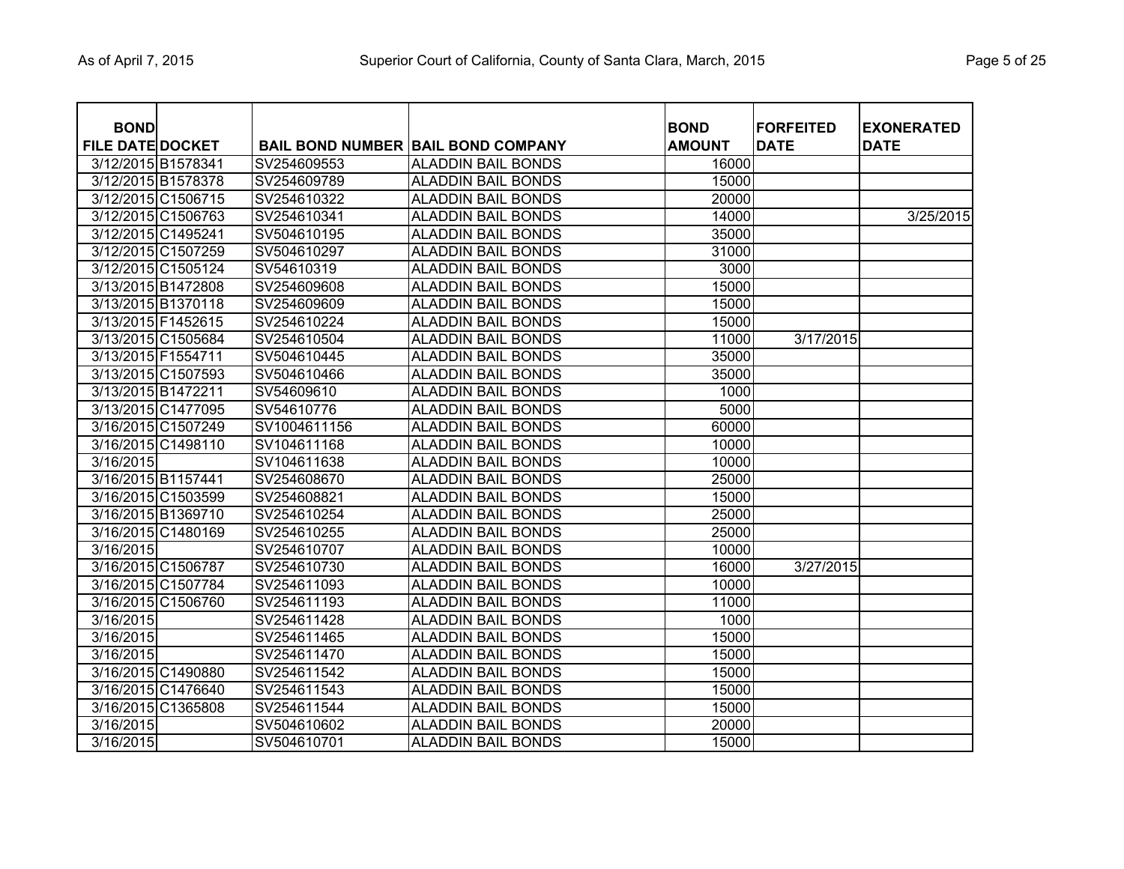| Page 5 of 25 |  |  |
|--------------|--|--|
|--------------|--|--|

| <b>BOND</b><br><b>FILE DATE DOCKET</b> |                    |              | <b>BAIL BOND NUMBER BAIL BOND COMPANY</b> | <b>BOND</b><br><b>AMOUNT</b> | <b>FORFEITED</b><br><b>DATE</b> | <b>EXONERATED</b><br><b>DATE</b> |
|----------------------------------------|--------------------|--------------|-------------------------------------------|------------------------------|---------------------------------|----------------------------------|
| 3/12/2015 B1578341                     |                    | SV254609553  | <b>ALADDIN BAIL BONDS</b>                 | 16000                        |                                 |                                  |
| 3/12/2015 B1578378                     |                    | SV254609789  | <b>ALADDIN BAIL BONDS</b>                 | 15000                        |                                 |                                  |
| 3/12/2015 C1506715                     |                    | SV254610322  | <b>ALADDIN BAIL BONDS</b>                 | 20000                        |                                 |                                  |
| 3/12/2015 C1506763                     |                    | SV254610341  | <b>ALADDIN BAIL BONDS</b>                 | 14000                        |                                 | 3/25/2015                        |
| 3/12/2015 C1495241                     |                    | SV504610195  | <b>ALADDIN BAIL BONDS</b>                 | 35000                        |                                 |                                  |
| 3/12/2015 C1507259                     |                    | SV504610297  | <b>ALADDIN BAIL BONDS</b>                 | 31000                        |                                 |                                  |
| 3/12/2015 C1505124                     |                    | SV54610319   | <b>ALADDIN BAIL BONDS</b>                 | 3000                         |                                 |                                  |
| 3/13/2015 B1472808                     |                    | SV254609608  | <b>ALADDIN BAIL BONDS</b>                 | 15000                        |                                 |                                  |
| 3/13/2015 B1370118                     |                    | SV254609609  | <b>ALADDIN BAIL BONDS</b>                 | 15000                        |                                 |                                  |
| 3/13/2015 F1452615                     |                    | SV254610224  | <b>ALADDIN BAIL BONDS</b>                 | 15000                        |                                 |                                  |
| 3/13/2015 C1505684                     |                    | SV254610504  | <b>ALADDIN BAIL BONDS</b>                 | 11000                        | 3/17/2015                       |                                  |
| 3/13/2015 F1554711                     |                    | SV504610445  | <b>ALADDIN BAIL BONDS</b>                 | 35000                        |                                 |                                  |
| 3/13/2015 C1507593                     |                    | SV504610466  | <b>ALADDIN BAIL BONDS</b>                 | 35000                        |                                 |                                  |
| 3/13/2015 B1472211                     |                    | SV54609610   | <b>ALADDIN BAIL BONDS</b>                 | 1000                         |                                 |                                  |
| 3/13/2015 C1477095                     |                    | SV54610776   | <b>ALADDIN BAIL BONDS</b>                 | 5000                         |                                 |                                  |
|                                        | 3/16/2015 C1507249 | SV1004611156 | <b>ALADDIN BAIL BONDS</b>                 | 60000                        |                                 |                                  |
| 3/16/2015 C1498110                     |                    | SV104611168  | <b>ALADDIN BAIL BONDS</b>                 | 10000                        |                                 |                                  |
| 3/16/2015                              |                    | SV104611638  | <b>ALADDIN BAIL BONDS</b>                 | 10000                        |                                 |                                  |
| 3/16/2015 B1157441                     |                    | SV254608670  | <b>ALADDIN BAIL BONDS</b>                 | 25000                        |                                 |                                  |
|                                        | 3/16/2015 C1503599 | SV254608821  | <b>ALADDIN BAIL BONDS</b>                 | 15000                        |                                 |                                  |
| 3/16/2015 B1369710                     |                    | SV254610254  | <b>ALADDIN BAIL BONDS</b>                 | 25000                        |                                 |                                  |
| 3/16/2015 C1480169                     |                    | SV254610255  | <b>ALADDIN BAIL BONDS</b>                 | 25000                        |                                 |                                  |
| 3/16/2015                              |                    | SV254610707  | <b>ALADDIN BAIL BONDS</b>                 | 10000                        |                                 |                                  |
| 3/16/2015 C1506787                     |                    | SV254610730  | <b>ALADDIN BAIL BONDS</b>                 | 16000                        | 3/27/2015                       |                                  |
| 3/16/2015 C1507784                     |                    | SV254611093  | <b>ALADDIN BAIL BONDS</b>                 | 10000                        |                                 |                                  |
| 3/16/2015 C1506760                     |                    | SV254611193  | <b>ALADDIN BAIL BONDS</b>                 | 11000                        |                                 |                                  |
| 3/16/2015                              |                    | SV254611428  | <b>ALADDIN BAIL BONDS</b>                 | 1000                         |                                 |                                  |
| 3/16/2015                              |                    | SV254611465  | <b>ALADDIN BAIL BONDS</b>                 | 15000                        |                                 |                                  |
| 3/16/2015                              |                    | SV254611470  | <b>ALADDIN BAIL BONDS</b>                 | 15000                        |                                 |                                  |
| 3/16/2015 C1490880                     |                    | SV254611542  | <b>ALADDIN BAIL BONDS</b>                 | 15000                        |                                 |                                  |
|                                        | 3/16/2015 C1476640 | SV254611543  | <b>ALADDIN BAIL BONDS</b>                 | 15000                        |                                 |                                  |
| 3/16/2015 C1365808                     |                    | SV254611544  | <b>ALADDIN BAIL BONDS</b>                 | 15000                        |                                 |                                  |
| 3/16/2015                              |                    | SV504610602  | <b>ALADDIN BAIL BONDS</b>                 | 20000                        |                                 |                                  |
| 3/16/2015                              |                    | SV504610701  | <b>ALADDIN BAIL BONDS</b>                 | 15000                        |                                 |                                  |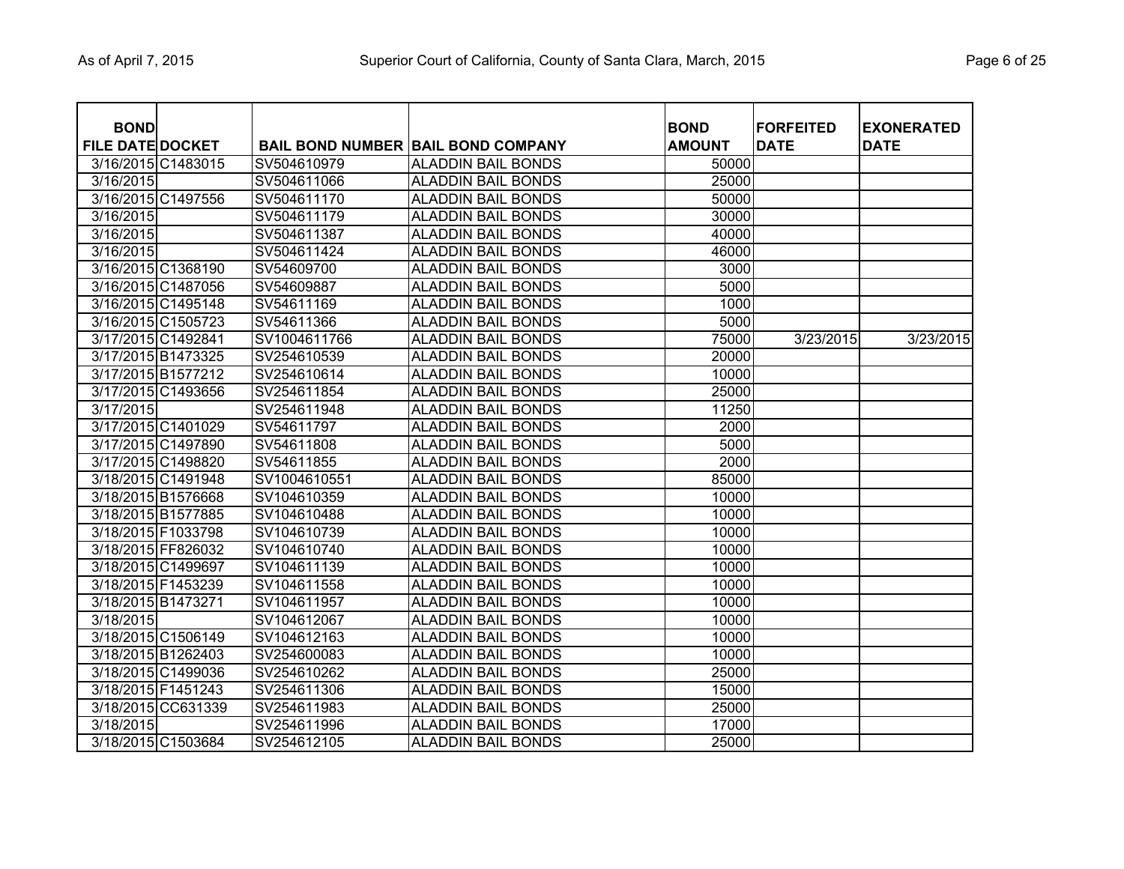|  | Page 6 of 25 |  |  |  |
|--|--------------|--|--|--|
|--|--------------|--|--|--|

| <b>BOND</b><br><b>FILE DATE DOCKET</b> |                    |              | <b>BAIL BOND NUMBER BAIL BOND COMPANY</b> | <b>BOND</b><br><b>AMOUNT</b> | <b>FORFEITED</b><br><b>DATE</b> | <b>EXONERATED</b><br><b>DATE</b> |
|----------------------------------------|--------------------|--------------|-------------------------------------------|------------------------------|---------------------------------|----------------------------------|
| 3/16/2015 C1483015                     |                    | SV504610979  | <b>ALADDIN BAIL BONDS</b>                 | 50000                        |                                 |                                  |
| 3/16/2015                              |                    | SV504611066  | <b>ALADDIN BAIL BONDS</b>                 | 25000                        |                                 |                                  |
| 3/16/2015 C1497556                     |                    | SV504611170  | <b>ALADDIN BAIL BONDS</b>                 | 50000                        |                                 |                                  |
| 3/16/2015                              |                    | SV504611179  | <b>ALADDIN BAIL BONDS</b>                 | 30000                        |                                 |                                  |
| 3/16/2015                              |                    | SV504611387  | <b>ALADDIN BAIL BONDS</b>                 | 40000                        |                                 |                                  |
| 3/16/2015                              |                    | SV504611424  | <b>ALADDIN BAIL BONDS</b>                 | 46000                        |                                 |                                  |
| 3/16/2015 C1368190                     |                    | SV54609700   | <b>ALADDIN BAIL BONDS</b>                 | 3000                         |                                 |                                  |
| 3/16/2015 C1487056                     |                    | SV54609887   | <b>ALADDIN BAIL BONDS</b>                 | 5000                         |                                 |                                  |
| 3/16/2015 C1495148                     |                    | SV54611169   | <b>ALADDIN BAIL BONDS</b>                 | 1000                         |                                 |                                  |
| 3/16/2015 C1505723                     |                    | SV54611366   | <b>ALADDIN BAIL BONDS</b>                 | 5000                         |                                 |                                  |
| 3/17/2015 C1492841                     |                    | SV1004611766 | <b>ALADDIN BAIL BONDS</b>                 | 75000                        | 3/23/2015                       | 3/23/2015                        |
| 3/17/2015 B1473325                     |                    | SV254610539  | <b>ALADDIN BAIL BONDS</b>                 | 20000                        |                                 |                                  |
| 3/17/2015 B1577212                     |                    | SV254610614  | <b>ALADDIN BAIL BONDS</b>                 | 10000                        |                                 |                                  |
| 3/17/2015 C1493656                     |                    | SV254611854  | <b>ALADDIN BAIL BONDS</b>                 | 25000                        |                                 |                                  |
| 3/17/2015                              |                    | SV254611948  | <b>ALADDIN BAIL BONDS</b>                 | 11250                        |                                 |                                  |
| 3/17/2015 C1401029                     |                    | SV54611797   | <b>ALADDIN BAIL BONDS</b>                 | 2000                         |                                 |                                  |
| 3/17/2015 C1497890                     |                    | SV54611808   | <b>ALADDIN BAIL BONDS</b>                 | 5000                         |                                 |                                  |
| 3/17/2015 C1498820                     |                    | SV54611855   | <b>ALADDIN BAIL BONDS</b>                 | 2000                         |                                 |                                  |
| 3/18/2015 C1491948                     |                    | SV1004610551 | <b>ALADDIN BAIL BONDS</b>                 | 85000                        |                                 |                                  |
| 3/18/2015 B1576668                     |                    | SV104610359  | <b>ALADDIN BAIL BONDS</b>                 | 10000                        |                                 |                                  |
| 3/18/2015 B1577885                     |                    | SV104610488  | <b>ALADDIN BAIL BONDS</b>                 | 10000                        |                                 |                                  |
| 3/18/2015 F1033798                     |                    | SV104610739  | <b>ALADDIN BAIL BONDS</b>                 | 10000                        |                                 |                                  |
| 3/18/2015 FF826032                     |                    | SV104610740  | <b>ALADDIN BAIL BONDS</b>                 | 10000                        |                                 |                                  |
| 3/18/2015 C1499697                     |                    | SV104611139  | <b>ALADDIN BAIL BONDS</b>                 | 10000                        |                                 |                                  |
| 3/18/2015 F1453239                     |                    | SV104611558  | <b>ALADDIN BAIL BONDS</b>                 | 10000                        |                                 |                                  |
| 3/18/2015 B1473271                     |                    | SV104611957  | <b>ALADDIN BAIL BONDS</b>                 | 10000                        |                                 |                                  |
| 3/18/2015                              |                    | SV104612067  | <b>ALADDIN BAIL BONDS</b>                 | 10000                        |                                 |                                  |
| 3/18/2015 C1506149                     |                    | SV104612163  | <b>ALADDIN BAIL BONDS</b>                 | 10000                        |                                 |                                  |
| 3/18/2015 B1262403                     |                    | SV254600083  | <b>ALADDIN BAIL BONDS</b>                 | 10000                        |                                 |                                  |
| 3/18/2015 C1499036                     |                    | SV254610262  | <b>ALADDIN BAIL BONDS</b>                 | 25000                        |                                 |                                  |
| 3/18/2015 F1451243                     |                    | SV254611306  | <b>ALADDIN BAIL BONDS</b>                 | 15000                        |                                 |                                  |
|                                        | 3/18/2015 CC631339 | SV254611983  | <b>ALADDIN BAIL BONDS</b>                 | 25000                        |                                 |                                  |
| 3/18/2015                              |                    | SV254611996  | <b>ALADDIN BAIL BONDS</b>                 | 17000                        |                                 |                                  |
| 3/18/2015 C1503684                     |                    | SV254612105  | <b>ALADDIN BAIL BONDS</b>                 | 25000                        |                                 |                                  |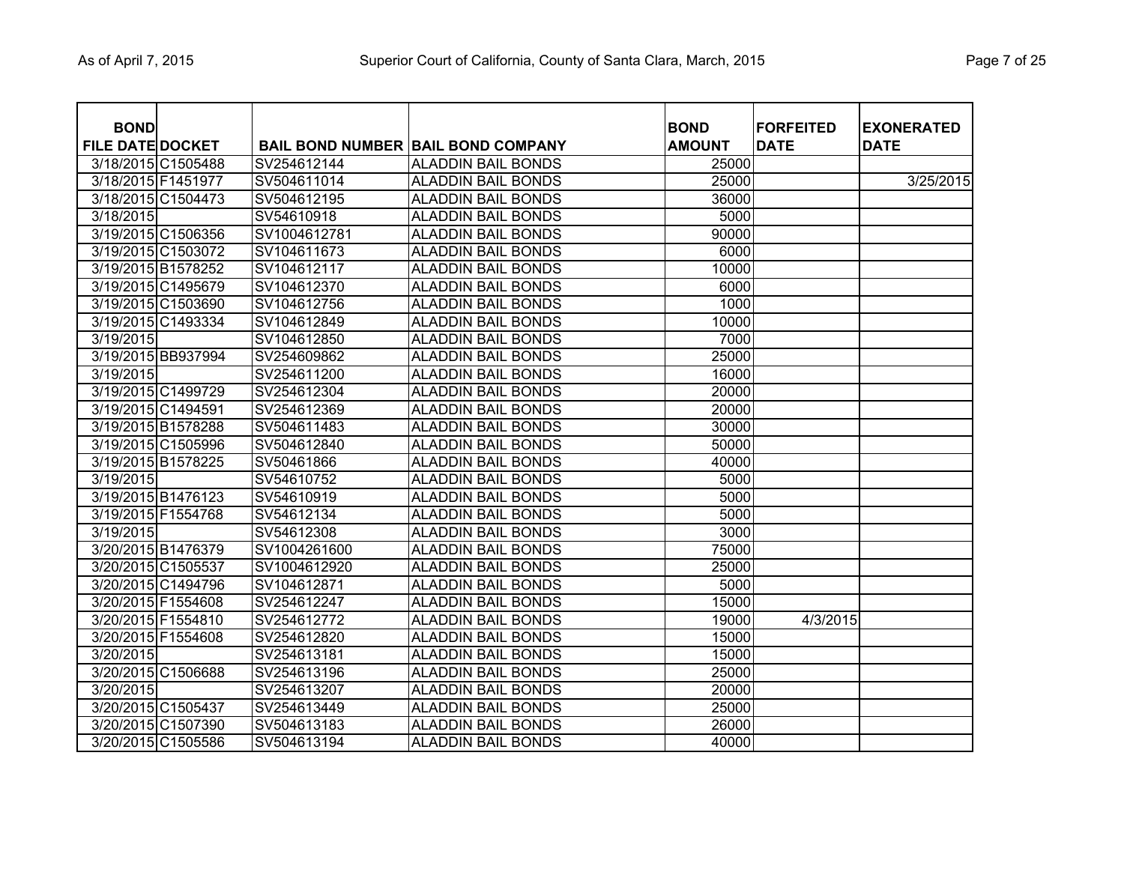| <b>BOND</b>             |                    |              |                                           | <b>BOND</b>   | <b>FORFEITED</b> | <b>EXONERATED</b> |
|-------------------------|--------------------|--------------|-------------------------------------------|---------------|------------------|-------------------|
| <b>FILE DATE DOCKET</b> |                    |              | <b>BAIL BOND NUMBER BAIL BOND COMPANY</b> | <b>AMOUNT</b> | <b>DATE</b>      | <b>DATE</b>       |
|                         | 3/18/2015 C1505488 | SV254612144  | <b>ALADDIN BAIL BONDS</b>                 | 25000         |                  |                   |
| 3/18/2015 F1451977      |                    | SV504611014  | <b>ALADDIN BAIL BONDS</b>                 | 25000         |                  | 3/25/2015         |
|                         | 3/18/2015 C1504473 | SV504612195  | <b>ALADDIN BAIL BONDS</b>                 | 36000         |                  |                   |
| 3/18/2015               |                    | SV54610918   | <b>ALADDIN BAIL BONDS</b>                 | 5000          |                  |                   |
|                         | 3/19/2015 C1506356 | SV1004612781 | <b>ALADDIN BAIL BONDS</b>                 | 90000         |                  |                   |
|                         | 3/19/2015 C1503072 | SV104611673  | <b>ALADDIN BAIL BONDS</b>                 | 6000          |                  |                   |
| 3/19/2015 B1578252      |                    | SV104612117  | <b>ALADDIN BAIL BONDS</b>                 | 10000         |                  |                   |
|                         | 3/19/2015 C1495679 | SV104612370  | <b>ALADDIN BAIL BONDS</b>                 | 6000          |                  |                   |
|                         | 3/19/2015 C1503690 | SV104612756  | <b>ALADDIN BAIL BONDS</b>                 | 1000          |                  |                   |
|                         | 3/19/2015 C1493334 | SV104612849  | <b>ALADDIN BAIL BONDS</b>                 | 10000         |                  |                   |
| 3/19/2015               |                    | SV104612850  | <b>ALADDIN BAIL BONDS</b>                 | 7000          |                  |                   |
|                         | 3/19/2015 BB937994 | SV254609862  | <b>ALADDIN BAIL BONDS</b>                 | 25000         |                  |                   |
| 3/19/2015               |                    | SV254611200  | <b>ALADDIN BAIL BONDS</b>                 | 16000         |                  |                   |
|                         | 3/19/2015 C1499729 | SV254612304  | <b>ALADDIN BAIL BONDS</b>                 | 20000         |                  |                   |
| 3/19/2015 C1494591      |                    | SV254612369  | <b>ALADDIN BAIL BONDS</b>                 | 20000         |                  |                   |
| 3/19/2015 B1578288      |                    | SV504611483  | ALADDIN BAIL BONDS                        | 30000         |                  |                   |
|                         | 3/19/2015 C1505996 | SV504612840  | <b>ALADDIN BAIL BONDS</b>                 | 50000         |                  |                   |
| 3/19/2015 B1578225      |                    | SV50461866   | <b>ALADDIN BAIL BONDS</b>                 | 40000         |                  |                   |
| 3/19/2015               |                    | SV54610752   | <b>ALADDIN BAIL BONDS</b>                 | 5000          |                  |                   |
|                         | 3/19/2015 B1476123 | SV54610919   | <b>ALADDIN BAIL BONDS</b>                 | 5000          |                  |                   |
| 3/19/2015 F1554768      |                    | SV54612134   | <b>ALADDIN BAIL BONDS</b>                 | 5000          |                  |                   |
| 3/19/2015               |                    | SV54612308   | <b>ALADDIN BAIL BONDS</b>                 | 3000          |                  |                   |
|                         | 3/20/2015 B1476379 | SV1004261600 | <b>ALADDIN BAIL BONDS</b>                 | 75000         |                  |                   |
|                         | 3/20/2015 C1505537 | SV1004612920 | <b>ALADDIN BAIL BONDS</b>                 | 25000         |                  |                   |
|                         | 3/20/2015 C1494796 | SV104612871  | <b>ALADDIN BAIL BONDS</b>                 | 5000          |                  |                   |
| 3/20/2015 F1554608      |                    | SV254612247  | <b>ALADDIN BAIL BONDS</b>                 | 15000         |                  |                   |
| 3/20/2015 F1554810      |                    | SV254612772  | <b>ALADDIN BAIL BONDS</b>                 | 19000         | 4/3/2015         |                   |
| 3/20/2015 F1554608      |                    | SV254612820  | <b>ALADDIN BAIL BONDS</b>                 | 15000         |                  |                   |
| 3/20/2015               |                    | SV254613181  | <b>ALADDIN BAIL BONDS</b>                 | 15000         |                  |                   |
|                         | 3/20/2015 C1506688 | SV254613196  | <b>ALADDIN BAIL BONDS</b>                 | 25000         |                  |                   |
| 3/20/2015               |                    | SV254613207  | <b>ALADDIN BAIL BONDS</b>                 | 20000         |                  |                   |
|                         | 3/20/2015 C1505437 | SV254613449  | <b>ALADDIN BAIL BONDS</b>                 | 25000         |                  |                   |
|                         | 3/20/2015 C1507390 | SV504613183  | <b>ALADDIN BAIL BONDS</b>                 | 26000         |                  |                   |
|                         | 3/20/2015 C1505586 | SV504613194  | <b>ALADDIN BAIL BONDS</b>                 | 40000         |                  |                   |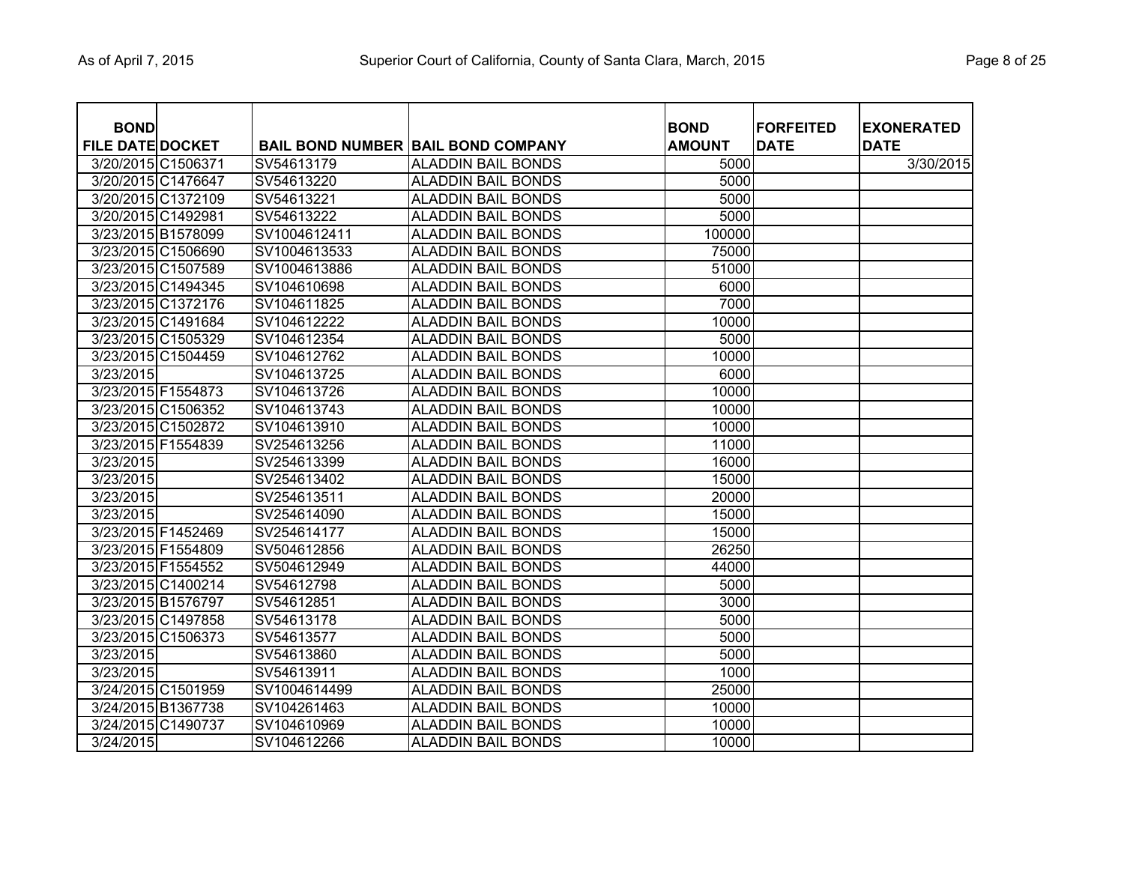| Page 8 of 25 |  |
|--------------|--|
|--------------|--|

| <b>BOND</b><br><b>FILE DATE DOCKET</b> |                    |              | <b>BAIL BOND NUMBER BAIL BOND COMPANY</b> | <b>BOND</b><br><b>AMOUNT</b> | <b>FORFEITED</b><br><b>DATE</b> | <b>EXONERATED</b><br><b>DATE</b> |
|----------------------------------------|--------------------|--------------|-------------------------------------------|------------------------------|---------------------------------|----------------------------------|
| 3/20/2015 C1506371                     |                    | SV54613179   | <b>ALADDIN BAIL BONDS</b>                 | 5000                         |                                 | 3/30/2015                        |
|                                        | 3/20/2015 C1476647 | SV54613220   | <b>ALADDIN BAIL BONDS</b>                 | 5000                         |                                 |                                  |
|                                        | 3/20/2015 C1372109 | SV54613221   | <b>ALADDIN BAIL BONDS</b>                 | 5000                         |                                 |                                  |
| 3/20/2015 C1492981                     |                    | SV54613222   | <b>ALADDIN BAIL BONDS</b>                 | 5000                         |                                 |                                  |
|                                        | 3/23/2015 B1578099 | SV1004612411 | <b>ALADDIN BAIL BONDS</b>                 | 100000                       |                                 |                                  |
|                                        | 3/23/2015 C1506690 | SV1004613533 | <b>ALADDIN BAIL BONDS</b>                 | 75000                        |                                 |                                  |
|                                        | 3/23/2015 C1507589 | SV1004613886 | <b>ALADDIN BAIL BONDS</b>                 | 51000                        |                                 |                                  |
|                                        | 3/23/2015 C1494345 | SV104610698  | <b>ALADDIN BAIL BONDS</b>                 | 6000                         |                                 |                                  |
|                                        | 3/23/2015 C1372176 | SV104611825  | <b>ALADDIN BAIL BONDS</b>                 | 7000                         |                                 |                                  |
|                                        | 3/23/2015 C1491684 | SV104612222  | <b>ALADDIN BAIL BONDS</b>                 | 10000                        |                                 |                                  |
|                                        | 3/23/2015 C1505329 | SV104612354  | <b>ALADDIN BAIL BONDS</b>                 | 5000                         |                                 |                                  |
|                                        | 3/23/2015 C1504459 | SV104612762  | <b>ALADDIN BAIL BONDS</b>                 | 10000                        |                                 |                                  |
| 3/23/2015                              |                    | SV104613725  | <b>ALADDIN BAIL BONDS</b>                 | 6000                         |                                 |                                  |
| 3/23/2015 F1554873                     |                    | SV104613726  | <b>ALADDIN BAIL BONDS</b>                 | 10000                        |                                 |                                  |
|                                        | 3/23/2015 C1506352 | SV104613743  | <b>ALADDIN BAIL BONDS</b>                 | 10000                        |                                 |                                  |
|                                        | 3/23/2015 C1502872 | SV104613910  | <b>ALADDIN BAIL BONDS</b>                 | 10000                        |                                 |                                  |
| 3/23/2015 F1554839                     |                    | SV254613256  | <b>ALADDIN BAIL BONDS</b>                 | 11000                        |                                 |                                  |
| 3/23/2015                              |                    | SV254613399  | <b>ALADDIN BAIL BONDS</b>                 | 16000                        |                                 |                                  |
| 3/23/2015                              |                    | SV254613402  | <b>ALADDIN BAIL BONDS</b>                 | 15000                        |                                 |                                  |
| 3/23/2015                              |                    | SV254613511  | <b>ALADDIN BAIL BONDS</b>                 | 20000                        |                                 |                                  |
| 3/23/2015                              |                    | SV254614090  | <b>ALADDIN BAIL BONDS</b>                 | 15000                        |                                 |                                  |
| 3/23/2015 F1452469                     |                    | SV254614177  | <b>ALADDIN BAIL BONDS</b>                 | 15000                        |                                 |                                  |
| 3/23/2015 F1554809                     |                    | SV504612856  | <b>ALADDIN BAIL BONDS</b>                 | 26250                        |                                 |                                  |
| 3/23/2015 F1554552                     |                    | SV504612949  | <b>ALADDIN BAIL BONDS</b>                 | 44000                        |                                 |                                  |
|                                        | 3/23/2015 C1400214 | SV54612798   | <b>ALADDIN BAIL BONDS</b>                 | 5000                         |                                 |                                  |
|                                        | 3/23/2015 B1576797 | SV54612851   | <b>ALADDIN BAIL BONDS</b>                 | 3000                         |                                 |                                  |
|                                        | 3/23/2015 C1497858 | SV54613178   | <b>ALADDIN BAIL BONDS</b>                 | 5000                         |                                 |                                  |
|                                        | 3/23/2015 C1506373 | SV54613577   | <b>ALADDIN BAIL BONDS</b>                 | 5000                         |                                 |                                  |
| 3/23/2015                              |                    | SV54613860   | <b>ALADDIN BAIL BONDS</b>                 | 5000                         |                                 |                                  |
| 3/23/2015                              |                    | SV54613911   | <b>ALADDIN BAIL BONDS</b>                 | 1000                         |                                 |                                  |
|                                        | 3/24/2015 C1501959 | SV1004614499 | <b>ALADDIN BAIL BONDS</b>                 | 25000                        |                                 |                                  |
|                                        | 3/24/2015 B1367738 | SV104261463  | <b>ALADDIN BAIL BONDS</b>                 | 10000                        |                                 |                                  |
|                                        | 3/24/2015 C1490737 | SV104610969  | <b>ALADDIN BAIL BONDS</b>                 | 10000                        |                                 |                                  |
| 3/24/2015                              |                    | SV104612266  | <b>ALADDIN BAIL BONDS</b>                 | 10000                        |                                 |                                  |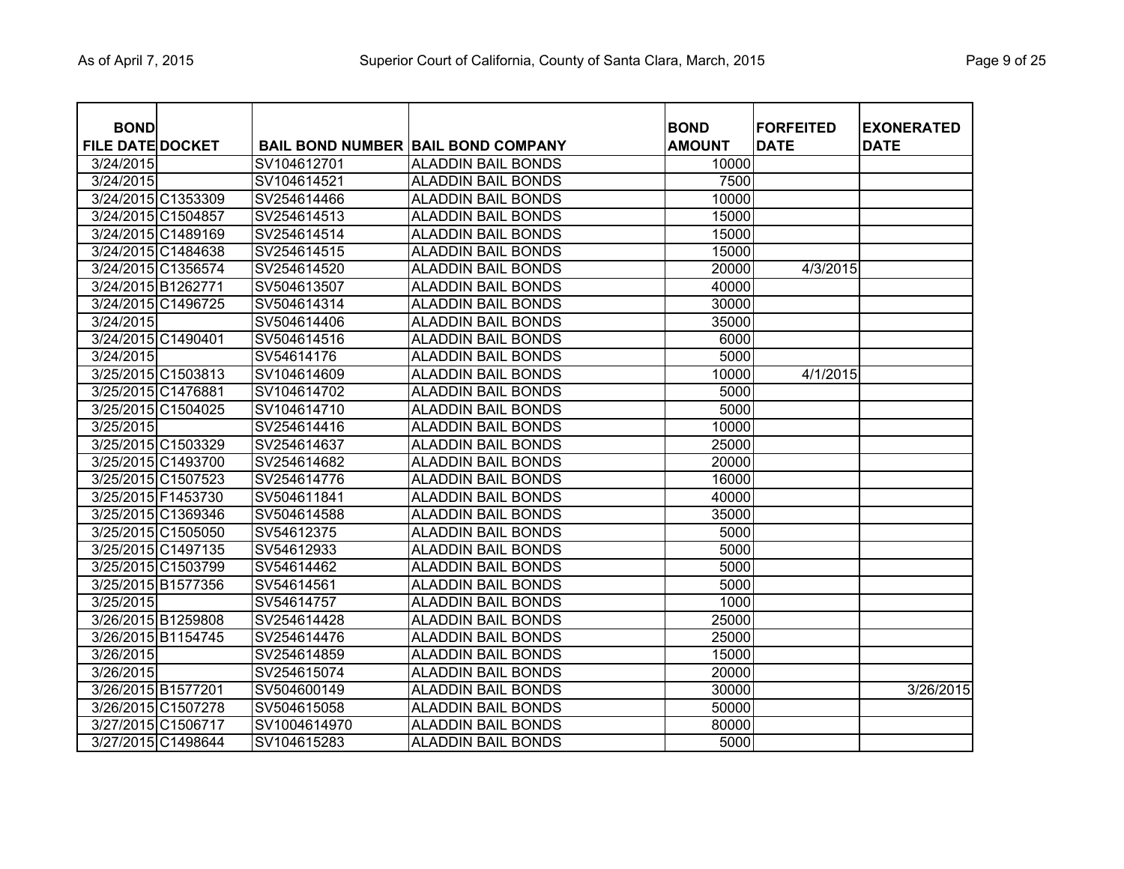| <b>BOND</b>             |                    |              |                                           | <b>BOND</b>   | <b>FORFEITED</b> | <b>EXONERATED</b> |
|-------------------------|--------------------|--------------|-------------------------------------------|---------------|------------------|-------------------|
| <b>FILE DATE DOCKET</b> |                    |              | <b>BAIL BOND NUMBER BAIL BOND COMPANY</b> | <b>AMOUNT</b> | <b>DATE</b>      | <b>DATE</b>       |
| 3/24/2015               |                    | SV104612701  | <b>ALADDIN BAIL BONDS</b>                 | 10000         |                  |                   |
| 3/24/2015               |                    | SV104614521  | <b>ALADDIN BAIL BONDS</b>                 | 7500          |                  |                   |
|                         | 3/24/2015 C1353309 | SV254614466  | <b>ALADDIN BAIL BONDS</b>                 | 10000         |                  |                   |
|                         | 3/24/2015 C1504857 | SV254614513  | <b>ALADDIN BAIL BONDS</b>                 | 15000         |                  |                   |
|                         | 3/24/2015 C1489169 | SV254614514  | <b>ALADDIN BAIL BONDS</b>                 | 15000         |                  |                   |
|                         | 3/24/2015 C1484638 | SV254614515  | <b>ALADDIN BAIL BONDS</b>                 | 15000         |                  |                   |
|                         | 3/24/2015 C1356574 | SV254614520  | <b>ALADDIN BAIL BONDS</b>                 | 20000         | 4/3/2015         |                   |
| 3/24/2015 B1262771      |                    | SV504613507  | <b>ALADDIN BAIL BONDS</b>                 | 40000         |                  |                   |
|                         | 3/24/2015 C1496725 | SV504614314  | <b>ALADDIN BAIL BONDS</b>                 | 30000         |                  |                   |
| 3/24/2015               |                    | SV504614406  | <b>ALADDIN BAIL BONDS</b>                 | 35000         |                  |                   |
| 3/24/2015 C1490401      |                    | SV504614516  | <b>ALADDIN BAIL BONDS</b>                 | 6000          |                  |                   |
| 3/24/2015               |                    | SV54614176   | <b>ALADDIN BAIL BONDS</b>                 | 5000          |                  |                   |
|                         | 3/25/2015 C1503813 | SV104614609  | <b>ALADDIN BAIL BONDS</b>                 | 10000         | 4/1/2015         |                   |
| 3/25/2015 C1476881      |                    | SV104614702  | <b>ALADDIN BAIL BONDS</b>                 | 5000          |                  |                   |
|                         | 3/25/2015 C1504025 | SV104614710  | <b>ALADDIN BAIL BONDS</b>                 | 5000          |                  |                   |
| 3/25/2015               |                    | SV254614416  | <b>ALADDIN BAIL BONDS</b>                 | 10000         |                  |                   |
|                         | 3/25/2015 C1503329 | SV254614637  | <b>ALADDIN BAIL BONDS</b>                 | 25000         |                  |                   |
|                         | 3/25/2015 C1493700 | SV254614682  | <b>ALADDIN BAIL BONDS</b>                 | 20000         |                  |                   |
|                         | 3/25/2015 C1507523 | SV254614776  | <b>ALADDIN BAIL BONDS</b>                 | 16000         |                  |                   |
| 3/25/2015 F1453730      |                    | SV504611841  | <b>ALADDIN BAIL BONDS</b>                 | 40000         |                  |                   |
|                         | 3/25/2015 C1369346 | SV504614588  | <b>ALADDIN BAIL BONDS</b>                 | 35000         |                  |                   |
|                         | 3/25/2015 C1505050 | SV54612375   | <b>ALADDIN BAIL BONDS</b>                 | 5000          |                  |                   |
|                         | 3/25/2015 C1497135 | SV54612933   | <b>ALADDIN BAIL BONDS</b>                 | 5000          |                  |                   |
|                         | 3/25/2015 C1503799 | SV54614462   | <b>ALADDIN BAIL BONDS</b>                 | 5000          |                  |                   |
|                         | 3/25/2015 B1577356 | SV54614561   | <b>ALADDIN BAIL BONDS</b>                 | 5000          |                  |                   |
| 3/25/2015               |                    | SV54614757   | <b>ALADDIN BAIL BONDS</b>                 | 1000          |                  |                   |
|                         | 3/26/2015 B1259808 | SV254614428  | <b>ALADDIN BAIL BONDS</b>                 | 25000         |                  |                   |
|                         | 3/26/2015 B1154745 | SV254614476  | <b>ALADDIN BAIL BONDS</b>                 | 25000         |                  |                   |
| 3/26/2015               |                    | SV254614859  | <b>ALADDIN BAIL BONDS</b>                 | 15000         |                  |                   |
| 3/26/2015               |                    | SV254615074  | <b>ALADDIN BAIL BONDS</b>                 | 20000         |                  |                   |
| 3/26/2015 B1577201      |                    | SV504600149  | <b>ALADDIN BAIL BONDS</b>                 | 30000         |                  | 3/26/2015         |
|                         | 3/26/2015 C1507278 | SV504615058  | <b>ALADDIN BAIL BONDS</b>                 | 50000         |                  |                   |
|                         | 3/27/2015 C1506717 | SV1004614970 | <b>ALADDIN BAIL BONDS</b>                 | 80000         |                  |                   |
|                         | 3/27/2015 C1498644 | SV104615283  | <b>ALADDIN BAIL BONDS</b>                 | 5000          |                  |                   |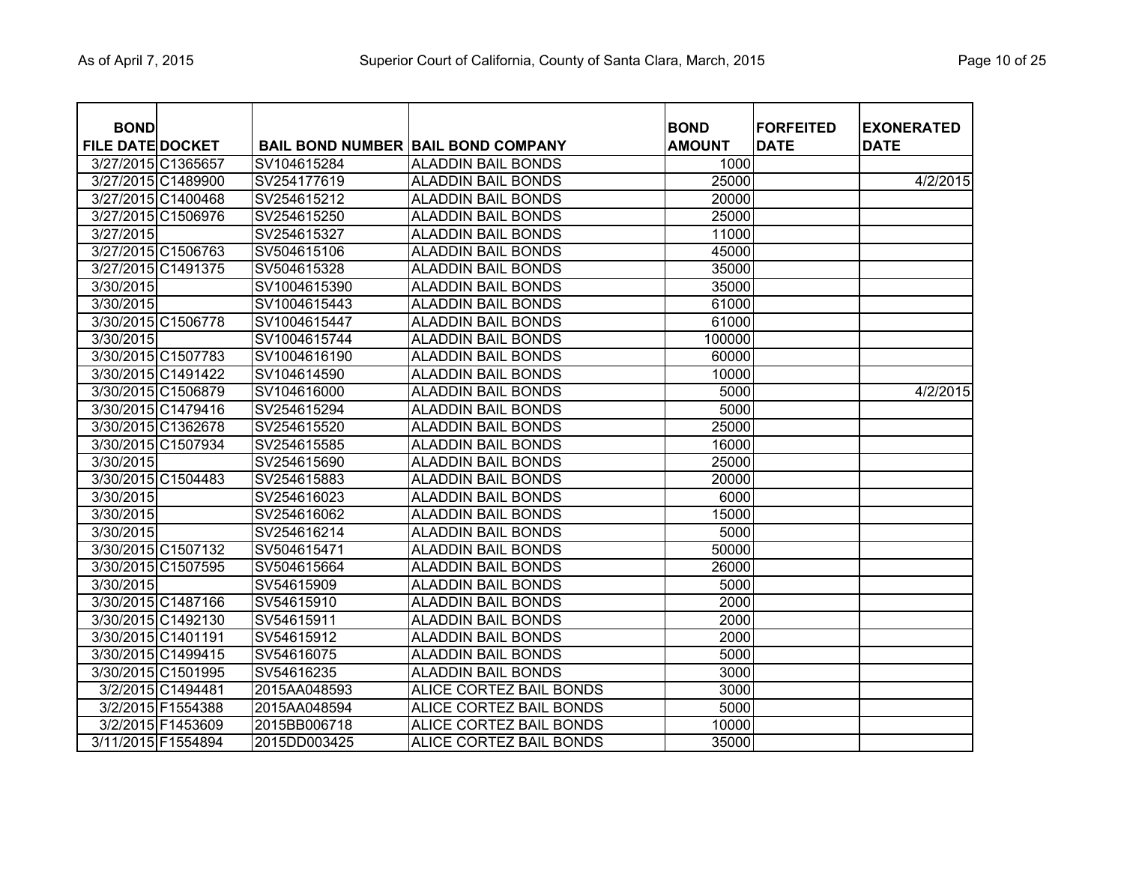| <b>BOND</b>             |                    |              |                                           | <b>BOND</b>   | <b>FORFEITED</b> | <b>EXONERATED</b> |
|-------------------------|--------------------|--------------|-------------------------------------------|---------------|------------------|-------------------|
| <b>FILE DATE DOCKET</b> |                    |              | <b>BAIL BOND NUMBER BAIL BOND COMPANY</b> | <b>AMOUNT</b> | <b>DATE</b>      | <b>DATE</b>       |
|                         | 3/27/2015 C1365657 | SV104615284  | <b>ALADDIN BAIL BONDS</b>                 | 1000          |                  |                   |
|                         | 3/27/2015 C1489900 | SV254177619  | <b>ALADDIN BAIL BONDS</b>                 | 25000         |                  | 4/2/2015          |
|                         | 3/27/2015 C1400468 | SV254615212  | <b>ALADDIN BAIL BONDS</b>                 | 20000         |                  |                   |
|                         | 3/27/2015 C1506976 | SV254615250  | <b>ALADDIN BAIL BONDS</b>                 | 25000         |                  |                   |
| 3/27/2015               |                    | SV254615327  | <b>ALADDIN BAIL BONDS</b>                 | 11000         |                  |                   |
|                         | 3/27/2015 C1506763 | SV504615106  | <b>ALADDIN BAIL BONDS</b>                 | 45000         |                  |                   |
|                         | 3/27/2015 C1491375 | SV504615328  | <b>ALADDIN BAIL BONDS</b>                 | 35000         |                  |                   |
| 3/30/2015               |                    | SV1004615390 | <b>ALADDIN BAIL BONDS</b>                 | 35000         |                  |                   |
| 3/30/2015               |                    | SV1004615443 | <b>ALADDIN BAIL BONDS</b>                 | 61000         |                  |                   |
|                         | 3/30/2015 C1506778 | SV1004615447 | <b>ALADDIN BAIL BONDS</b>                 | 61000         |                  |                   |
| 3/30/2015               |                    | SV1004615744 | <b>ALADDIN BAIL BONDS</b>                 | 100000        |                  |                   |
|                         | 3/30/2015 C1507783 | SV1004616190 | <b>ALADDIN BAIL BONDS</b>                 | 60000         |                  |                   |
|                         | 3/30/2015 C1491422 | SV104614590  | <b>ALADDIN BAIL BONDS</b>                 | 10000         |                  |                   |
|                         | 3/30/2015 C1506879 | SV104616000  | <b>ALADDIN BAIL BONDS</b>                 | 5000          |                  | 4/2/2015          |
|                         | 3/30/2015 C1479416 | SV254615294  | <b>ALADDIN BAIL BONDS</b>                 | 5000          |                  |                   |
|                         | 3/30/2015 C1362678 | SV254615520  | <b>ALADDIN BAIL BONDS</b>                 | 25000         |                  |                   |
|                         | 3/30/2015 C1507934 | SV254615585  | <b>ALADDIN BAIL BONDS</b>                 | 16000         |                  |                   |
| 3/30/2015               |                    | SV254615690  | <b>ALADDIN BAIL BONDS</b>                 | 25000         |                  |                   |
|                         | 3/30/2015 C1504483 | SV254615883  | <b>ALADDIN BAIL BONDS</b>                 | 20000         |                  |                   |
| 3/30/2015               |                    | SV254616023  | <b>ALADDIN BAIL BONDS</b>                 | 6000          |                  |                   |
| 3/30/2015               |                    | SV254616062  | <b>ALADDIN BAIL BONDS</b>                 | 15000         |                  |                   |
| 3/30/2015               |                    | SV254616214  | <b>ALADDIN BAIL BONDS</b>                 | 5000          |                  |                   |
|                         | 3/30/2015 C1507132 | SV504615471  | <b>ALADDIN BAIL BONDS</b>                 | 50000         |                  |                   |
|                         | 3/30/2015 C1507595 | SV504615664  | <b>ALADDIN BAIL BONDS</b>                 | 26000         |                  |                   |
| 3/30/2015               |                    | SV54615909   | <b>ALADDIN BAIL BONDS</b>                 | 5000          |                  |                   |
|                         | 3/30/2015 C1487166 | SV54615910   | <b>ALADDIN BAIL BONDS</b>                 | 2000          |                  |                   |
|                         | 3/30/2015 C1492130 | SV54615911   | <b>ALADDIN BAIL BONDS</b>                 | 2000          |                  |                   |
|                         | 3/30/2015 C1401191 | SV54615912   | <b>ALADDIN BAIL BONDS</b>                 | 2000          |                  |                   |
|                         | 3/30/2015 C1499415 | SV54616075   | <b>ALADDIN BAIL BONDS</b>                 | 5000          |                  |                   |
|                         | 3/30/2015 C1501995 | SV54616235   | <b>ALADDIN BAIL BONDS</b>                 | 3000          |                  |                   |
|                         | 3/2/2015 C1494481  | 2015AA048593 | ALICE CORTEZ BAIL BONDS                   | 3000          |                  |                   |
|                         | 3/2/2015 F1554388  | 2015AA048594 | ALICE CORTEZ BAIL BONDS                   | 5000          |                  |                   |
|                         | 3/2/2015 F1453609  | 2015BB006718 | ALICE CORTEZ BAIL BONDS                   | 10000         |                  |                   |
| 3/11/2015 F1554894      |                    | 2015DD003425 | ALICE CORTEZ BAIL BONDS                   | 35000         |                  |                   |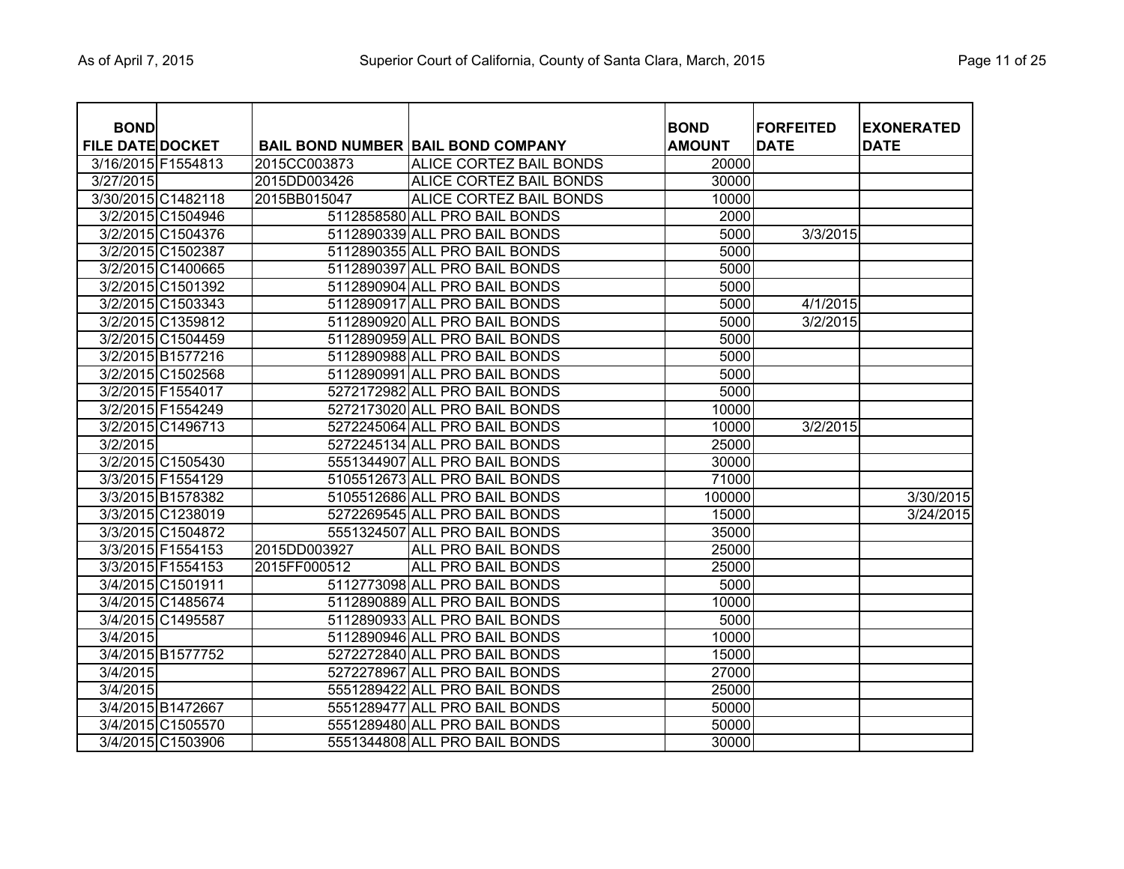| <b>BOND</b><br><b>FILE DATE DOCKET</b> |                    |              | <b>BAIL BOND NUMBER BAIL BOND COMPANY</b> | <b>BOND</b><br><b>AMOUNT</b> | <b>FORFEITED</b><br><b>DATE</b> | <b>EXONERATED</b><br><b>DATE</b> |
|----------------------------------------|--------------------|--------------|-------------------------------------------|------------------------------|---------------------------------|----------------------------------|
| 3/16/2015 F1554813                     |                    | 2015CC003873 | ALICE CORTEZ BAIL BONDS                   | 20000                        |                                 |                                  |
| 3/27/2015                              |                    | 2015DD003426 | ALICE CORTEZ BAIL BONDS                   | 30000                        |                                 |                                  |
|                                        | 3/30/2015 C1482118 | 2015BB015047 | ALICE CORTEZ BAIL BONDS                   | 10000                        |                                 |                                  |
|                                        | 3/2/2015 C1504946  |              | 5112858580 ALL PRO BAIL BONDS             | 2000                         |                                 |                                  |
|                                        | 3/2/2015 C1504376  |              | 5112890339 ALL PRO BAIL BONDS             | 5000                         | 3/3/2015                        |                                  |
|                                        | 3/2/2015 C1502387  |              | 5112890355 ALL PRO BAIL BONDS             | 5000                         |                                 |                                  |
|                                        | 3/2/2015 C1400665  |              | 5112890397 ALL PRO BAIL BONDS             | 5000                         |                                 |                                  |
|                                        | 3/2/2015 C1501392  |              | 5112890904 ALL PRO BAIL BONDS             | 5000                         |                                 |                                  |
|                                        | 3/2/2015 C1503343  |              | 5112890917 ALL PRO BAIL BONDS             | 5000                         | 4/1/2015                        |                                  |
|                                        | 3/2/2015 C1359812  |              | 5112890920 ALL PRO BAIL BONDS             | 5000                         | 3/2/2015                        |                                  |
|                                        | 3/2/2015 C1504459  |              | 5112890959 ALL PRO BAIL BONDS             | 5000                         |                                 |                                  |
|                                        | 3/2/2015 B1577216  |              | 5112890988 ALL PRO BAIL BONDS             | 5000                         |                                 |                                  |
|                                        | 3/2/2015 C1502568  |              | 5112890991 ALL PRO BAIL BONDS             | 5000                         |                                 |                                  |
|                                        | 3/2/2015 F1554017  |              | 5272172982 ALL PRO BAIL BONDS             | 5000                         |                                 |                                  |
|                                        | 3/2/2015 F1554249  |              | 5272173020 ALL PRO BAIL BONDS             | 10000                        |                                 |                                  |
|                                        | 3/2/2015 C1496713  |              | 5272245064 ALL PRO BAIL BONDS             | 10000                        | 3/2/2015                        |                                  |
| 3/2/2015                               |                    |              | 5272245134 ALL PRO BAIL BONDS             | 25000                        |                                 |                                  |
|                                        | 3/2/2015 C1505430  |              | 5551344907 ALL PRO BAIL BONDS             | 30000                        |                                 |                                  |
|                                        | 3/3/2015 F1554129  |              | 5105512673 ALL PRO BAIL BONDS             | 71000                        |                                 |                                  |
|                                        | 3/3/2015 B1578382  |              | 5105512686 ALL PRO BAIL BONDS             | 100000                       |                                 | 3/30/2015                        |
|                                        | 3/3/2015 C1238019  |              | 5272269545 ALL PRO BAIL BONDS             | 15000                        |                                 | 3/24/2015                        |
|                                        | 3/3/2015 C1504872  |              | 5551324507 ALL PRO BAIL BONDS             | 35000                        |                                 |                                  |
|                                        | 3/3/2015 F1554153  | 2015DD003927 | ALL PRO BAIL BONDS                        | 25000                        |                                 |                                  |
|                                        | 3/3/2015 F1554153  | 2015FF000512 | ALL PRO BAIL BONDS                        | 25000                        |                                 |                                  |
|                                        | 3/4/2015 C1501911  |              | 5112773098 ALL PRO BAIL BONDS             | 5000                         |                                 |                                  |
|                                        | 3/4/2015 C1485674  |              | 5112890889 ALL PRO BAIL BONDS             | 10000                        |                                 |                                  |
|                                        | 3/4/2015 C1495587  |              | 5112890933 ALL PRO BAIL BONDS             | 5000                         |                                 |                                  |
| 3/4/2015                               |                    |              | 5112890946 ALL PRO BAIL BONDS             | 10000                        |                                 |                                  |
|                                        | 3/4/2015 B1577752  |              | 5272272840 ALL PRO BAIL BONDS             | 15000                        |                                 |                                  |
| 3/4/2015                               |                    |              | 5272278967 ALL PRO BAIL BONDS             | 27000                        |                                 |                                  |
| 3/4/2015                               |                    |              | 5551289422 ALL PRO BAIL BONDS             | 25000                        |                                 |                                  |
|                                        | 3/4/2015 B1472667  |              | 5551289477 ALL PRO BAIL BONDS             | 50000                        |                                 |                                  |
|                                        | 3/4/2015 C1505570  |              | 5551289480 ALL PRO BAIL BONDS             | 50000                        |                                 |                                  |
|                                        | 3/4/2015 C1503906  |              | 5551344808 ALL PRO BAIL BONDS             | 30000                        |                                 |                                  |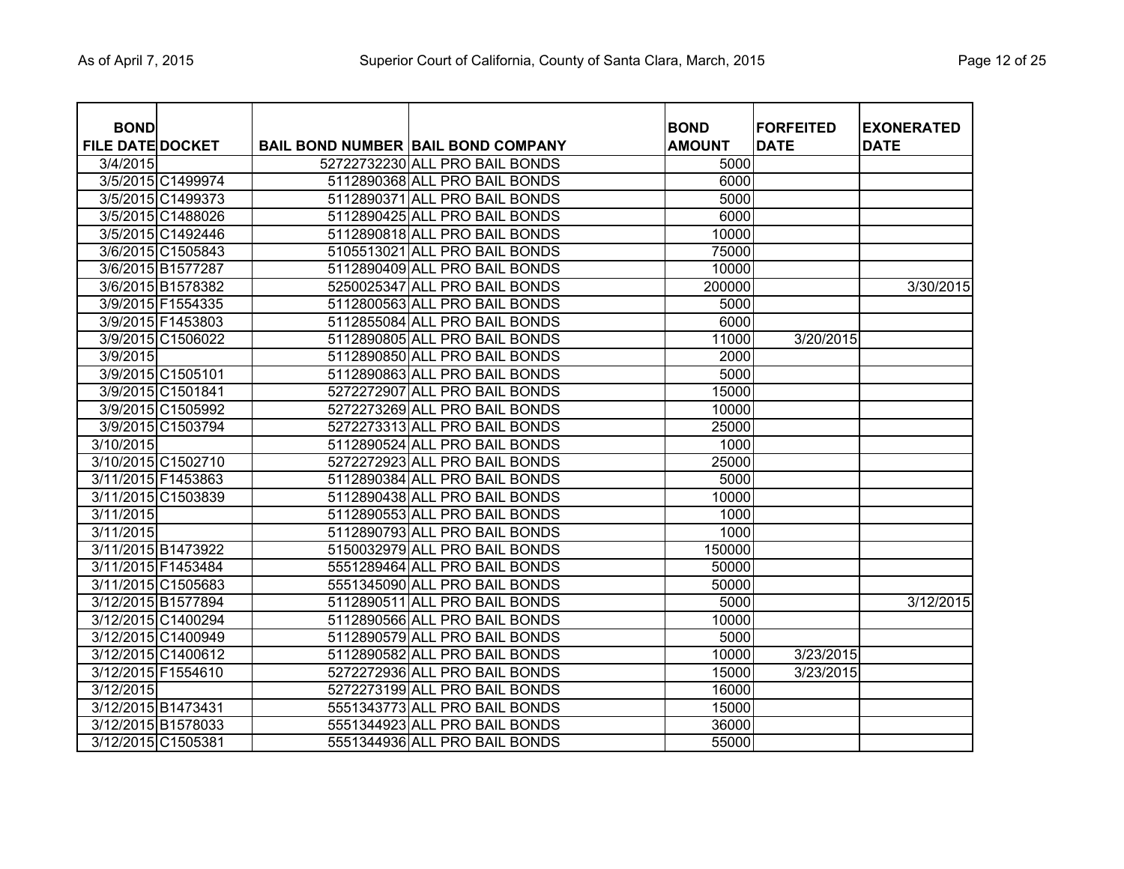| Page 12 of 25 |  |  |
|---------------|--|--|
|               |  |  |

| <b>BOND</b>             |                    |                                           | <b>BOND</b>   | <b>FORFEITED</b> | <b>EXONERATED</b> |
|-------------------------|--------------------|-------------------------------------------|---------------|------------------|-------------------|
| <b>FILE DATE DOCKET</b> |                    | <b>BAIL BOND NUMBER BAIL BOND COMPANY</b> | <b>AMOUNT</b> | <b>DATE</b>      | <b>DATE</b>       |
| 3/4/2015                |                    | 52722732230 ALL PRO BAIL BONDS            | 5000          |                  |                   |
|                         | 3/5/2015 C1499974  | 5112890368 ALL PRO BAIL BONDS             | 6000          |                  |                   |
|                         | 3/5/2015 C1499373  | 5112890371 ALL PRO BAIL BONDS             | 5000          |                  |                   |
|                         | 3/5/2015 C1488026  | 5112890425 ALL PRO BAIL BONDS             | 6000          |                  |                   |
|                         | 3/5/2015 C1492446  | 5112890818 ALL PRO BAIL BONDS             | 10000         |                  |                   |
|                         | 3/6/2015 C1505843  | 5105513021 ALL PRO BAIL BONDS             | 75000         |                  |                   |
|                         | 3/6/2015 B1577287  | 5112890409 ALL PRO BAIL BONDS             | 10000         |                  |                   |
|                         | 3/6/2015 B1578382  | 5250025347 ALL PRO BAIL BONDS             | 200000        |                  | 3/30/2015         |
|                         | 3/9/2015 F1554335  | 5112800563 ALL PRO BAIL BONDS             | 5000          |                  |                   |
|                         | 3/9/2015 F1453803  | 5112855084 ALL PRO BAIL BONDS             | 6000          |                  |                   |
|                         | 3/9/2015 C1506022  | 5112890805 ALL PRO BAIL BONDS             | 11000         | 3/20/2015        |                   |
| 3/9/2015                |                    | 5112890850 ALL PRO BAIL BONDS             | 2000          |                  |                   |
|                         | 3/9/2015 C1505101  | 5112890863 ALL PRO BAIL BONDS             | 5000          |                  |                   |
|                         | 3/9/2015 C1501841  | 5272272907 ALL PRO BAIL BONDS             | 15000         |                  |                   |
|                         | 3/9/2015 C1505992  | 5272273269 ALL PRO BAIL BONDS             | 10000         |                  |                   |
|                         | 3/9/2015 C1503794  | 5272273313 ALL PRO BAIL BONDS             | 25000         |                  |                   |
| 3/10/2015               |                    | 5112890524 ALL PRO BAIL BONDS             | 1000          |                  |                   |
|                         | 3/10/2015 C1502710 | 5272272923 ALL PRO BAIL BONDS             | 25000         |                  |                   |
| 3/11/2015 F1453863      |                    | 5112890384 ALL PRO BAIL BONDS             | 5000          |                  |                   |
|                         | 3/11/2015 C1503839 | 5112890438 ALL PRO BAIL BONDS             | 10000         |                  |                   |
| 3/11/2015               |                    | 5112890553 ALL PRO BAIL BONDS             | 1000          |                  |                   |
| 3/11/2015               |                    | 5112890793 ALL PRO BAIL BONDS             | 1000          |                  |                   |
| 3/11/2015 B1473922      |                    | 5150032979 ALL PRO BAIL BONDS             | 150000        |                  |                   |
| 3/11/2015 F1453484      |                    | 5551289464 ALL PRO BAIL BONDS             | 50000         |                  |                   |
|                         | 3/11/2015 C1505683 | 5551345090 ALL PRO BAIL BONDS             | 50000         |                  |                   |
| 3/12/2015 B1577894      |                    | 5112890511 ALL PRO BAIL BONDS             | 5000          |                  | 3/12/2015         |
|                         | 3/12/2015 C1400294 | 5112890566 ALL PRO BAIL BONDS             | 10000         |                  |                   |
|                         | 3/12/2015 C1400949 | 5112890579 ALL PRO BAIL BONDS             | 5000          |                  |                   |
|                         | 3/12/2015 C1400612 | 5112890582 ALL PRO BAIL BONDS             | 10000         | 3/23/2015        |                   |
| 3/12/2015 F1554610      |                    | 5272272936 ALL PRO BAIL BONDS             | 15000         | 3/23/2015        |                   |
| 3/12/2015               |                    | 5272273199 ALL PRO BAIL BONDS             | 16000         |                  |                   |
| 3/12/2015 B1473431      |                    | 5551343773 ALL PRO BAIL BONDS             | 15000         |                  |                   |
| 3/12/2015 B1578033      |                    | 5551344923 ALL PRO BAIL BONDS             | 36000         |                  |                   |
| 3/12/2015 C1505381      |                    | 5551344936 ALL PRO BAIL BONDS             | 55000         |                  |                   |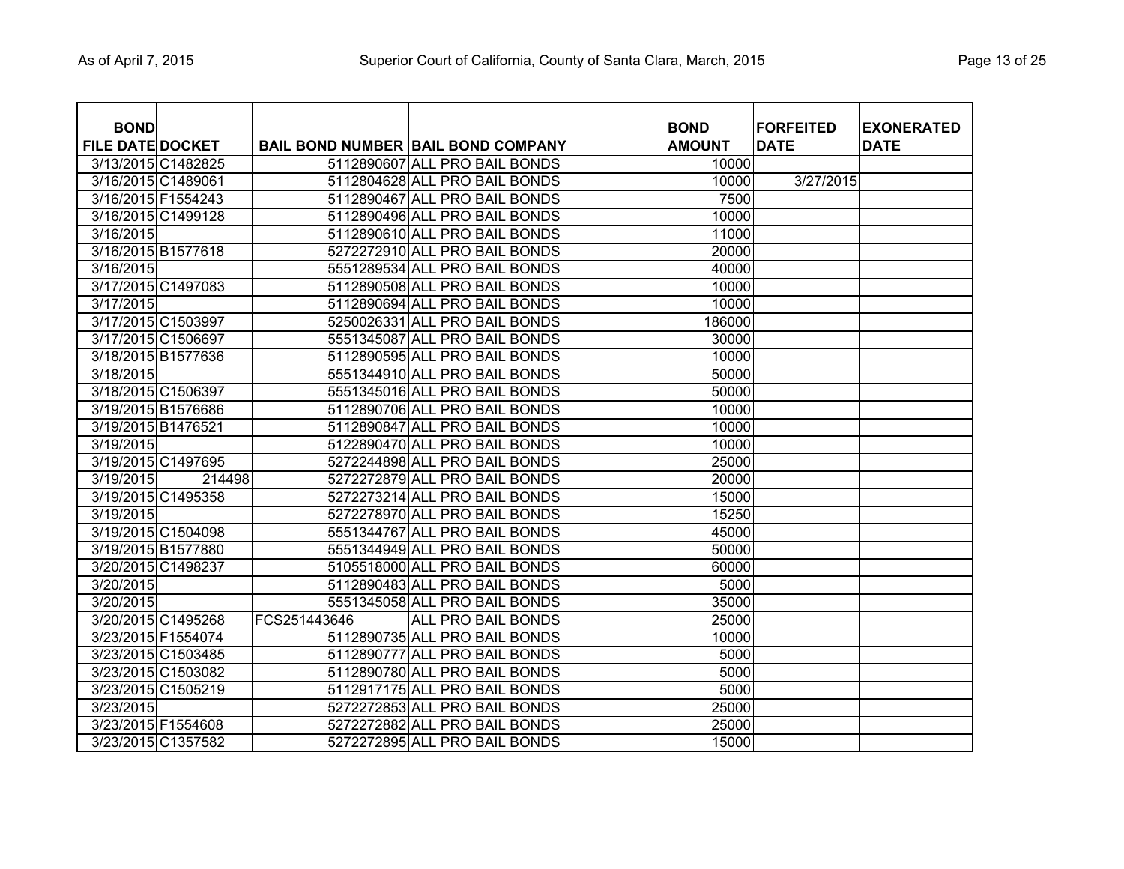| <b>BOND</b>             |                    |              |                                           | <b>BOND</b>   | <b>IFORFEITED</b> | <b>EXONERATED</b> |
|-------------------------|--------------------|--------------|-------------------------------------------|---------------|-------------------|-------------------|
| <b>FILE DATE DOCKET</b> |                    |              | <b>BAIL BOND NUMBER BAIL BOND COMPANY</b> | <b>AMOUNT</b> | <b>DATE</b>       | <b>DATE</b>       |
|                         | 3/13/2015 C1482825 |              | 5112890607 ALL PRO BAIL BONDS             | 10000         |                   |                   |
| 3/16/2015 C1489061      |                    |              | 5112804628 ALL PRO BAIL BONDS             | 10000         | 3/27/2015         |                   |
| 3/16/2015 F1554243      |                    |              | 5112890467 ALL PRO BAIL BONDS             | 7500          |                   |                   |
|                         | 3/16/2015 C1499128 |              | 5112890496 ALL PRO BAIL BONDS             | 10000         |                   |                   |
| 3/16/2015               |                    |              | 5112890610 ALL PRO BAIL BONDS             | 11000         |                   |                   |
| 3/16/2015 B1577618      |                    |              | 5272272910 ALL PRO BAIL BONDS             | 20000         |                   |                   |
| 3/16/2015               |                    |              | 5551289534 ALL PRO BAIL BONDS             | 40000         |                   |                   |
|                         | 3/17/2015 C1497083 |              | 5112890508 ALL PRO BAIL BONDS             | 10000         |                   |                   |
| 3/17/2015               |                    |              | 5112890694 ALL PRO BAIL BONDS             | 10000         |                   |                   |
| 3/17/2015 C1503997      |                    |              | 5250026331 ALL PRO BAIL BONDS             | 186000        |                   |                   |
|                         | 3/17/2015 C1506697 |              | 5551345087 ALL PRO BAIL BONDS             | 30000         |                   |                   |
| 3/18/2015 B1577636      |                    |              | 5112890595 ALL PRO BAIL BONDS             | 10000         |                   |                   |
| 3/18/2015               |                    |              | 5551344910 ALL PRO BAIL BONDS             | 50000         |                   |                   |
| 3/18/2015 C1506397      |                    |              | 5551345016 ALL PRO BAIL BONDS             | 50000         |                   |                   |
| 3/19/2015 B1576686      |                    |              | 5112890706 ALL PRO BAIL BONDS             | 10000         |                   |                   |
| 3/19/2015 B1476521      |                    |              | 5112890847 ALL PRO BAIL BONDS             | 10000         |                   |                   |
| 3/19/2015               |                    |              | 5122890470 ALL PRO BAIL BONDS             | 10000         |                   |                   |
|                         | 3/19/2015 C1497695 |              | 5272244898 ALL PRO BAIL BONDS             | 25000         |                   |                   |
| 3/19/2015               | 214498             |              | 5272272879 ALL PRO BAIL BONDS             | 20000         |                   |                   |
|                         | 3/19/2015 C1495358 |              | 5272273214 ALL PRO BAIL BONDS             | 15000         |                   |                   |
| 3/19/2015               |                    |              | 5272278970 ALL PRO BAIL BONDS             | 15250         |                   |                   |
|                         | 3/19/2015 C1504098 |              | 5551344767 ALL PRO BAIL BONDS             | 45000         |                   |                   |
|                         | 3/19/2015 B1577880 |              | 5551344949 ALL PRO BAIL BONDS             | 50000         |                   |                   |
| 3/20/2015 C1498237      |                    |              | 5105518000 ALL PRO BAIL BONDS             | 60000         |                   |                   |
| 3/20/2015               |                    |              | 5112890483 ALL PRO BAIL BONDS             | 5000          |                   |                   |
| 3/20/2015               |                    |              | 5551345058 ALL PRO BAIL BONDS             | 35000         |                   |                   |
|                         | 3/20/2015 C1495268 | FCS251443646 | <b>ALL PRO BAIL BONDS</b>                 | 25000         |                   |                   |
| 3/23/2015 F1554074      |                    |              | 5112890735 ALL PRO BAIL BONDS             | 10000         |                   |                   |
|                         | 3/23/2015 C1503485 |              | 5112890777 ALL PRO BAIL BONDS             | 5000          |                   |                   |
|                         | 3/23/2015 C1503082 |              | 5112890780 ALL PRO BAIL BONDS             | 5000          |                   |                   |
|                         | 3/23/2015 C1505219 |              | 5112917175 ALL PRO BAIL BONDS             | 5000          |                   |                   |
| 3/23/2015               |                    |              | 5272272853 ALL PRO BAIL BONDS             | 25000         |                   |                   |
| 3/23/2015 F1554608      |                    |              | 5272272882 ALL PRO BAIL BONDS             | 25000         |                   |                   |
|                         | 3/23/2015 C1357582 |              | 5272272895 ALL PRO BAIL BONDS             | 15000         |                   |                   |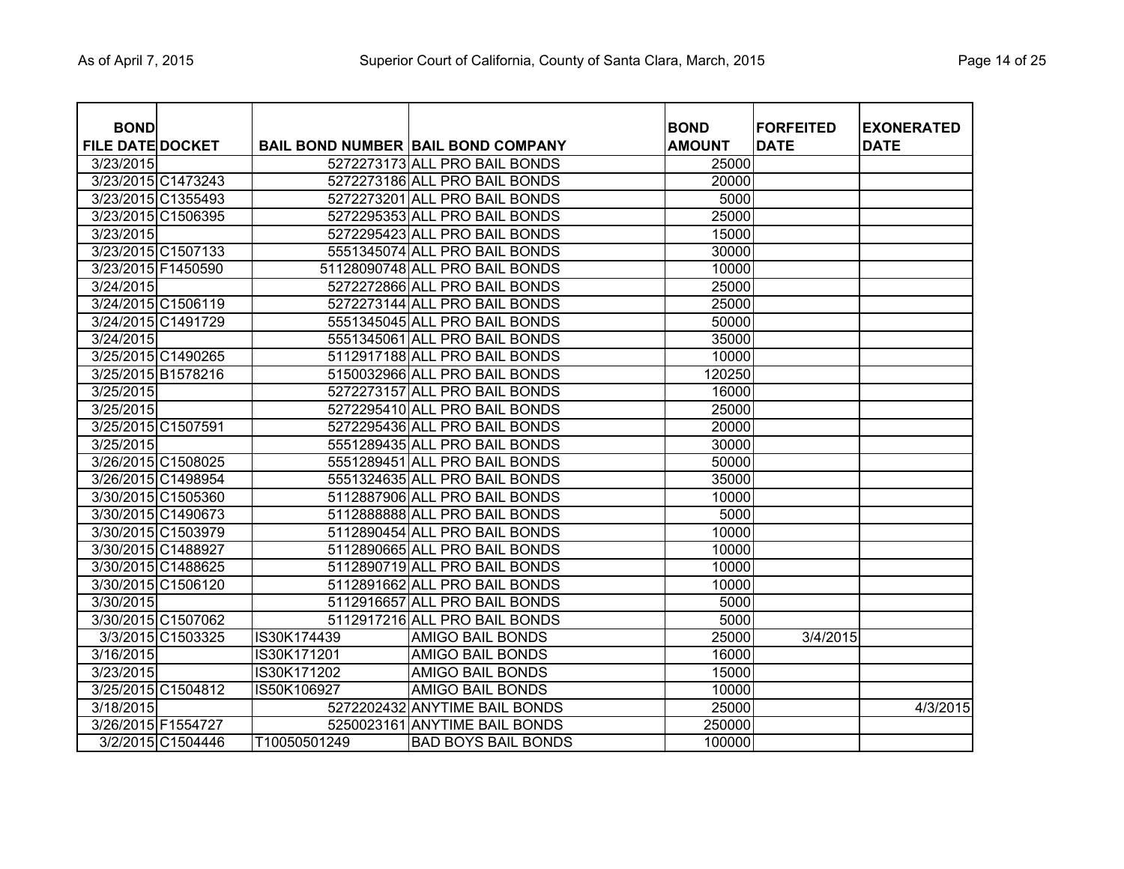| <b>BOND</b>             |                    |              |                                           | <b>BOND</b>   | <b>FORFEITED</b> | <b>EXONERATED</b> |
|-------------------------|--------------------|--------------|-------------------------------------------|---------------|------------------|-------------------|
| <b>FILE DATE DOCKET</b> |                    |              | <b>BAIL BOND NUMBER BAIL BOND COMPANY</b> | <b>AMOUNT</b> | <b>DATE</b>      | <b>DATE</b>       |
| 3/23/2015               |                    |              | 5272273173 ALL PRO BAIL BONDS             | 25000         |                  |                   |
|                         | 3/23/2015 C1473243 |              | 5272273186 ALL PRO BAIL BONDS             | 20000         |                  |                   |
|                         | 3/23/2015 C1355493 |              | 5272273201 ALL PRO BAIL BONDS             | 5000          |                  |                   |
|                         | 3/23/2015 C1506395 |              | 5272295353 ALL PRO BAIL BONDS             | 25000         |                  |                   |
| 3/23/2015               |                    |              | 5272295423 ALL PRO BAIL BONDS             | 15000         |                  |                   |
|                         | 3/23/2015 C1507133 |              | 5551345074 ALL PRO BAIL BONDS             | 30000         |                  |                   |
| 3/23/2015 F1450590      |                    |              | 51128090748 ALL PRO BAIL BONDS            | 10000         |                  |                   |
| 3/24/2015               |                    |              | 5272272866 ALL PRO BAIL BONDS             | 25000         |                  |                   |
|                         | 3/24/2015 C1506119 |              | 5272273144 ALL PRO BAIL BONDS             | 25000         |                  |                   |
|                         | 3/24/2015 C1491729 |              | 5551345045 ALL PRO BAIL BONDS             | 50000         |                  |                   |
| 3/24/2015               |                    |              | 5551345061 ALL PRO BAIL BONDS             | 35000         |                  |                   |
|                         | 3/25/2015 C1490265 |              | 5112917188 ALL PRO BAIL BONDS             | 10000         |                  |                   |
|                         | 3/25/2015 B1578216 |              | 5150032966 ALL PRO BAIL BONDS             | 120250        |                  |                   |
| 3/25/2015               |                    |              | 5272273157 ALL PRO BAIL BONDS             | 16000         |                  |                   |
| 3/25/2015               |                    |              | 5272295410 ALL PRO BAIL BONDS             | 25000         |                  |                   |
| 3/25/2015 C1507591      |                    |              | 5272295436 ALL PRO BAIL BONDS             | 20000         |                  |                   |
| 3/25/2015               |                    |              | 5551289435 ALL PRO BAIL BONDS             | 30000         |                  |                   |
|                         | 3/26/2015 C1508025 |              | 5551289451 ALL PRO BAIL BONDS             | 50000         |                  |                   |
|                         | 3/26/2015 C1498954 |              | 5551324635 ALL PRO BAIL BONDS             | 35000         |                  |                   |
|                         | 3/30/2015 C1505360 |              | 5112887906 ALL PRO BAIL BONDS             | 10000         |                  |                   |
|                         | 3/30/2015 C1490673 |              | 5112888888 ALL PRO BAIL BONDS             | 5000          |                  |                   |
|                         | 3/30/2015 C1503979 |              | 5112890454 ALL PRO BAIL BONDS             | 10000         |                  |                   |
|                         | 3/30/2015 C1488927 |              | 5112890665 ALL PRO BAIL BONDS             | 10000         |                  |                   |
|                         | 3/30/2015 C1488625 |              | 5112890719 ALL PRO BAIL BONDS             | 10000         |                  |                   |
|                         | 3/30/2015 C1506120 |              | 5112891662 ALL PRO BAIL BONDS             | 10000         |                  |                   |
| 3/30/2015               |                    |              | 5112916657 ALL PRO BAIL BONDS             | 5000          |                  |                   |
|                         | 3/30/2015 C1507062 |              | 5112917216 ALL PRO BAIL BONDS             | 5000          |                  |                   |
|                         | 3/3/2015 C1503325  | IS30K174439  | <b>AMIGO BAIL BONDS</b>                   | 25000         | 3/4/2015         |                   |
| 3/16/2015               |                    | IS30K171201  | <b>AMIGO BAIL BONDS</b>                   | 16000         |                  |                   |
| 3/23/2015               |                    | IS30K171202  | <b>AMIGO BAIL BONDS</b>                   | 15000         |                  |                   |
|                         | 3/25/2015 C1504812 | IS50K106927  | <b>AMIGO BAIL BONDS</b>                   | 10000         |                  |                   |
| 3/18/2015               |                    |              | 5272202432 ANYTIME BAIL BONDS             | 25000         |                  | 4/3/2015          |
| 3/26/2015 F1554727      |                    |              | 5250023161 ANYTIME BAIL BONDS             | 250000        |                  |                   |
|                         | 3/2/2015 C1504446  | T10050501249 | <b>BAD BOYS BAIL BONDS</b>                | 100000        |                  |                   |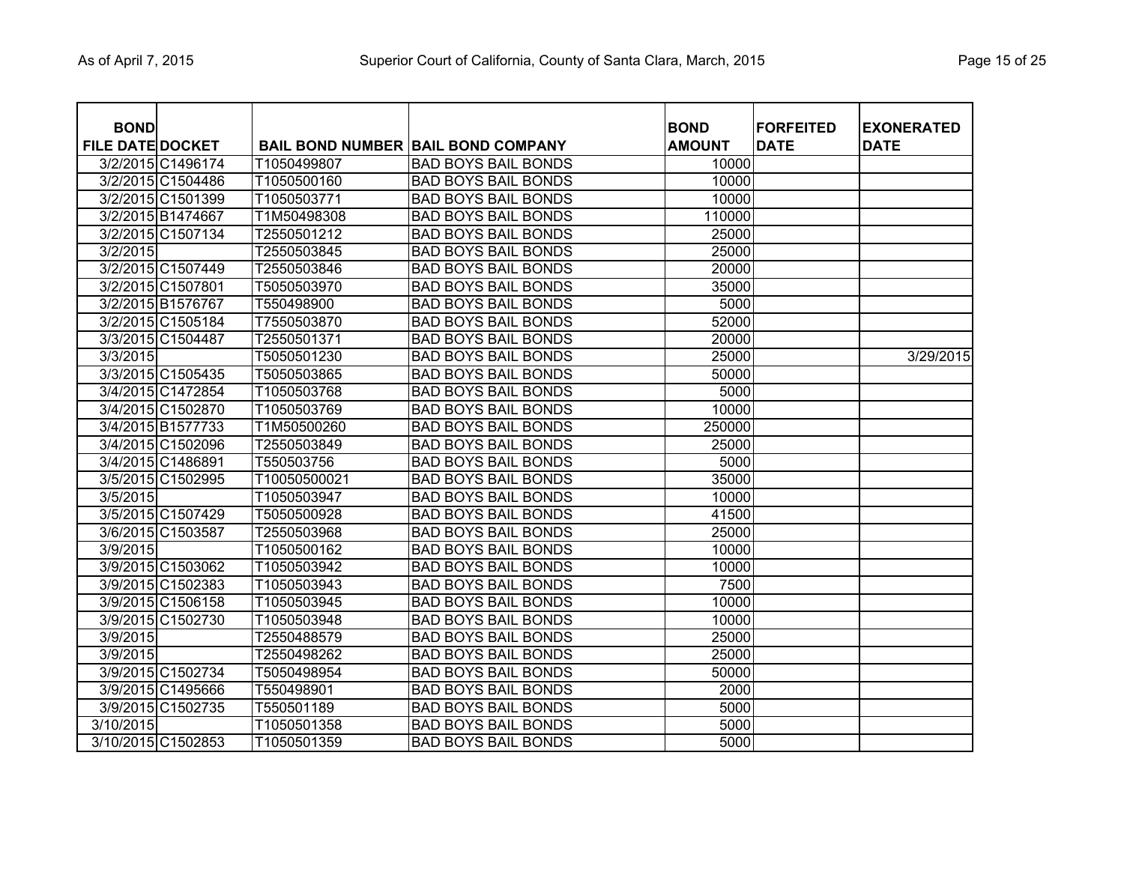| <b>BOND</b><br><b>FILE DATE DOCKET</b> |                    |              | <b>BAIL BOND NUMBER BAIL BOND COMPANY</b> | <b>BOND</b><br><b>AMOUNT</b> | <b>FORFEITED</b><br><b>DATE</b> | <b>EXONERATED</b><br><b>DATE</b> |
|----------------------------------------|--------------------|--------------|-------------------------------------------|------------------------------|---------------------------------|----------------------------------|
|                                        | 3/2/2015 C1496174  | T1050499807  | <b>BAD BOYS BAIL BONDS</b>                | 10000                        |                                 |                                  |
|                                        | 3/2/2015 C1504486  | T1050500160  | <b>BAD BOYS BAIL BONDS</b>                | 10000                        |                                 |                                  |
|                                        | 3/2/2015 C1501399  | T1050503771  | <b>BAD BOYS BAIL BONDS</b>                | 10000                        |                                 |                                  |
|                                        | 3/2/2015 B1474667  | T1M50498308  | <b>BAD BOYS BAIL BONDS</b>                | 110000                       |                                 |                                  |
|                                        | 3/2/2015 C1507134  | T2550501212  | <b>BAD BOYS BAIL BONDS</b>                | 25000                        |                                 |                                  |
| 3/2/2015                               |                    | T2550503845  | <b>BAD BOYS BAIL BONDS</b>                | 25000                        |                                 |                                  |
|                                        | 3/2/2015 C1507449  |              | <b>BAD BOYS BAIL BONDS</b>                | 20000                        |                                 |                                  |
|                                        | 3/2/2015 C1507801  | T2550503846  | <b>BAD BOYS BAIL BONDS</b>                |                              |                                 |                                  |
|                                        |                    | T5050503970  |                                           | 35000<br>5000                |                                 |                                  |
|                                        | 3/2/2015 B1576767  | T550498900   | <b>BAD BOYS BAIL BONDS</b>                |                              |                                 |                                  |
|                                        | 3/2/2015 C1505184  | T7550503870  | <b>BAD BOYS BAIL BONDS</b>                | 52000                        |                                 |                                  |
|                                        | 3/3/2015 C1504487  | T2550501371  | <b>BAD BOYS BAIL BONDS</b>                | 20000                        |                                 |                                  |
| 3/3/2015                               |                    | T5050501230  | <b>BAD BOYS BAIL BONDS</b>                | 25000                        |                                 | 3/29/2015                        |
|                                        | 3/3/2015 C1505435  | T5050503865  | <b>BAD BOYS BAIL BONDS</b>                | 50000                        |                                 |                                  |
|                                        | 3/4/2015 C1472854  | T1050503768  | <b>BAD BOYS BAIL BONDS</b>                | 5000                         |                                 |                                  |
|                                        | 3/4/2015 C1502870  | T1050503769  | <b>BAD BOYS BAIL BONDS</b>                | 10000                        |                                 |                                  |
|                                        | 3/4/2015 B1577733  | T1M50500260  | <b>BAD BOYS BAIL BONDS</b>                | 250000                       |                                 |                                  |
|                                        | 3/4/2015 C1502096  | T2550503849  | <b>BAD BOYS BAIL BONDS</b>                | 25000                        |                                 |                                  |
|                                        | 3/4/2015 C1486891  | T550503756   | <b>BAD BOYS BAIL BONDS</b>                | 5000                         |                                 |                                  |
|                                        | 3/5/2015 C1502995  | T10050500021 | <b>BAD BOYS BAIL BONDS</b>                | 35000                        |                                 |                                  |
| 3/5/2015                               |                    | T1050503947  | <b>BAD BOYS BAIL BONDS</b>                | 10000                        |                                 |                                  |
|                                        | 3/5/2015 C1507429  | T5050500928  | <b>BAD BOYS BAIL BONDS</b>                | 41500                        |                                 |                                  |
|                                        | 3/6/2015 C1503587  | T2550503968  | <b>BAD BOYS BAIL BONDS</b>                | 25000                        |                                 |                                  |
| 3/9/2015                               |                    | T1050500162  | <b>BAD BOYS BAIL BONDS</b>                | 10000                        |                                 |                                  |
|                                        | 3/9/2015 C1503062  | T1050503942  | <b>BAD BOYS BAIL BONDS</b>                | 10000                        |                                 |                                  |
|                                        | 3/9/2015 C1502383  | T1050503943  | <b>BAD BOYS BAIL BONDS</b>                | 7500                         |                                 |                                  |
|                                        | 3/9/2015 C1506158  | T1050503945  | <b>BAD BOYS BAIL BONDS</b>                | 10000                        |                                 |                                  |
|                                        | 3/9/2015 C1502730  | T1050503948  | <b>BAD BOYS BAIL BONDS</b>                | 10000                        |                                 |                                  |
| 3/9/2015                               |                    | T2550488579  | <b>BAD BOYS BAIL BONDS</b>                | 25000                        |                                 |                                  |
| 3/9/2015                               |                    | T2550498262  | <b>BAD BOYS BAIL BONDS</b>                | 25000                        |                                 |                                  |
|                                        | 3/9/2015 C1502734  | T5050498954  | <b>BAD BOYS BAIL BONDS</b>                | 50000                        |                                 |                                  |
|                                        | 3/9/2015 C1495666  | T550498901   | <b>BAD BOYS BAIL BONDS</b>                | 2000                         |                                 |                                  |
|                                        | 3/9/2015 C1502735  | T550501189   | <b>BAD BOYS BAIL BONDS</b>                | 5000                         |                                 |                                  |
| 3/10/2015                              |                    | T1050501358  | <b>BAD BOYS BAIL BONDS</b>                | 5000                         |                                 |                                  |
|                                        | 3/10/2015 C1502853 | T1050501359  | <b>BAD BOYS BAIL BONDS</b>                | 5000                         |                                 |                                  |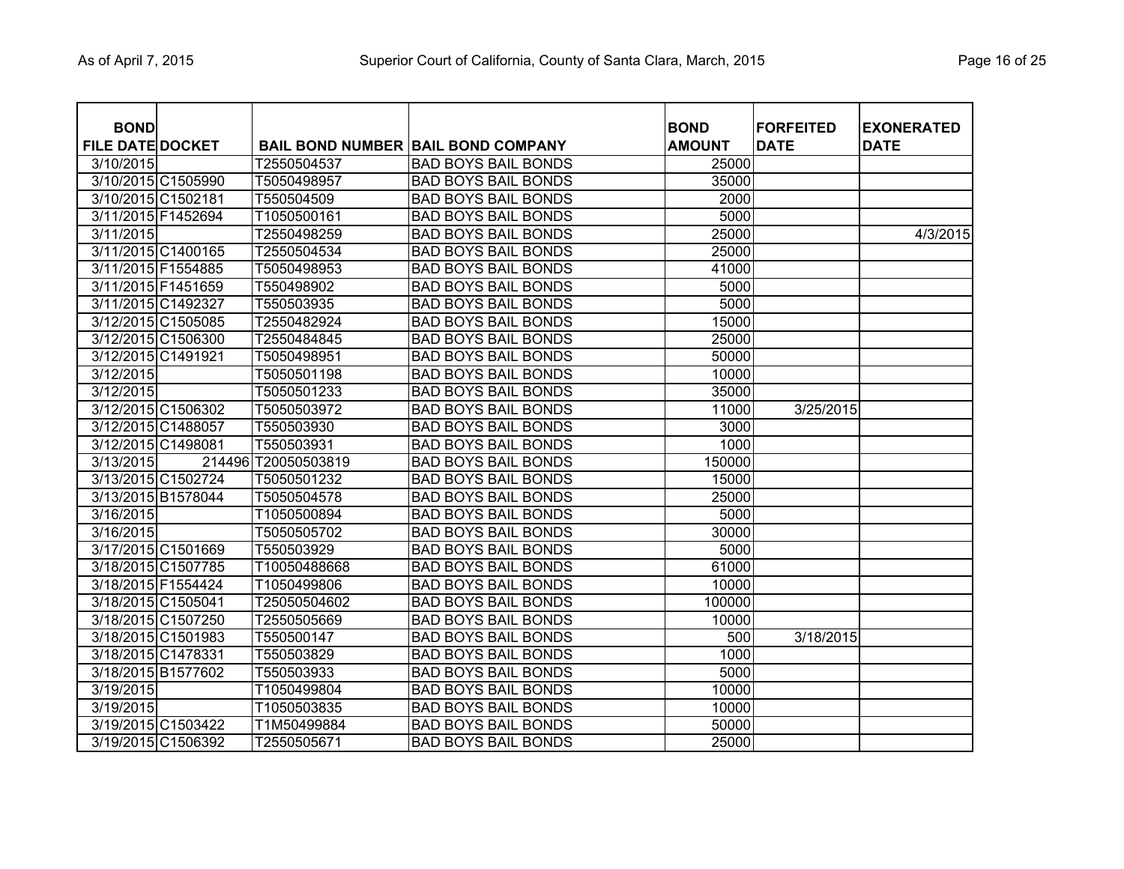| <b>BOND</b>             |                    |              |                                           | <b>BOND</b>   | <b>FORFEITED</b> | <b>EXONERATED</b> |
|-------------------------|--------------------|--------------|-------------------------------------------|---------------|------------------|-------------------|
| <b>FILE DATE DOCKET</b> |                    |              | <b>BAIL BOND NUMBER BAIL BOND COMPANY</b> | <b>AMOUNT</b> | <b>DATE</b>      | <b>DATE</b>       |
| 3/10/2015               |                    | T2550504537  | <b>BAD BOYS BAIL BONDS</b>                | 25000         |                  |                   |
|                         | 3/10/2015 C1505990 | T5050498957  | <b>BAD BOYS BAIL BONDS</b>                | 35000         |                  |                   |
| 3/10/2015 C1502181      |                    | T550504509   | <b>BAD BOYS BAIL BONDS</b>                | 2000          |                  |                   |
| 3/11/2015 F1452694      |                    | T1050500161  | <b>BAD BOYS BAIL BONDS</b>                | 5000          |                  |                   |
| 3/11/2015               |                    | T2550498259  | <b>BAD BOYS BAIL BONDS</b>                | 25000         |                  | 4/3/2015          |
|                         | 3/11/2015 C1400165 | T2550504534  | <b>BAD BOYS BAIL BONDS</b>                | 25000         |                  |                   |
| 3/11/2015 F1554885      |                    | T5050498953  | <b>BAD BOYS BAIL BONDS</b>                | 41000         |                  |                   |
| 3/11/2015 F1451659      |                    | T550498902   | <b>BAD BOYS BAIL BONDS</b>                | 5000          |                  |                   |
| 3/11/2015 C1492327      |                    | T550503935   | <b>BAD BOYS BAIL BONDS</b>                | 5000          |                  |                   |
| 3/12/2015 C1505085      |                    | T2550482924  | <b>BAD BOYS BAIL BONDS</b>                | 15000         |                  |                   |
| 3/12/2015 C1506300      |                    | T2550484845  | <b>BAD BOYS BAIL BONDS</b>                | 25000         |                  |                   |
| 3/12/2015 C1491921      |                    | T5050498951  | <b>BAD BOYS BAIL BONDS</b>                | 50000         |                  |                   |
| 3/12/2015               |                    | T5050501198  | <b>BAD BOYS BAIL BONDS</b>                | 10000         |                  |                   |
| 3/12/2015               |                    | T5050501233  | <b>BAD BOYS BAIL BONDS</b>                | 35000         |                  |                   |
| 3/12/2015 C1506302      |                    | T5050503972  | <b>BAD BOYS BAIL BONDS</b>                | 11000         | 3/25/2015        |                   |
| 3/12/2015 C1488057      |                    | T550503930   | <b>BAD BOYS BAIL BONDS</b>                | 3000          |                  |                   |
| 3/12/2015 C1498081      |                    | T550503931   | <b>BAD BOYS BAIL BONDS</b>                | 1000          |                  |                   |
| 3/13/2015               | 214496             | T20050503819 | <b>BAD BOYS BAIL BONDS</b>                | 150000        |                  |                   |
| 3/13/2015 C1502724      |                    | T5050501232  | <b>BAD BOYS BAIL BONDS</b>                | 15000         |                  |                   |
|                         | 3/13/2015 B1578044 | T5050504578  | <b>BAD BOYS BAIL BONDS</b>                | 25000         |                  |                   |
| 3/16/2015               |                    | T1050500894  | <b>BAD BOYS BAIL BONDS</b>                | 5000          |                  |                   |
| 3/16/2015               |                    | T5050505702  | <b>BAD BOYS BAIL BONDS</b>                | 30000         |                  |                   |
|                         | 3/17/2015 C1501669 | T550503929   | <b>BAD BOYS BAIL BONDS</b>                | 5000          |                  |                   |
|                         | 3/18/2015 C1507785 | T10050488668 | <b>BAD BOYS BAIL BONDS</b>                | 61000         |                  |                   |
| 3/18/2015 F1554424      |                    | T1050499806  | <b>BAD BOYS BAIL BONDS</b>                | 10000         |                  |                   |
| 3/18/2015 C1505041      |                    | T25050504602 | <b>BAD BOYS BAIL BONDS</b>                | 100000        |                  |                   |
|                         | 3/18/2015 C1507250 | T2550505669  | <b>BAD BOYS BAIL BONDS</b>                | 10000         |                  |                   |
|                         | 3/18/2015 C1501983 | T550500147   | <b>BAD BOYS BAIL BONDS</b>                | 500           | 3/18/2015        |                   |
| 3/18/2015 C1478331      |                    | T550503829   | <b>BAD BOYS BAIL BONDS</b>                | 1000          |                  |                   |
|                         | 3/18/2015 B1577602 | T550503933   | <b>BAD BOYS BAIL BONDS</b>                | 5000          |                  |                   |
| 3/19/2015               |                    | T1050499804  | <b>BAD BOYS BAIL BONDS</b>                | 10000         |                  |                   |
| 3/19/2015               |                    | T1050503835  | <b>BAD BOYS BAIL BONDS</b>                | 10000         |                  |                   |
|                         | 3/19/2015 C1503422 | T1M50499884  | <b>BAD BOYS BAIL BONDS</b>                | 50000         |                  |                   |
|                         | 3/19/2015 C1506392 | T2550505671  | <b>BAD BOYS BAIL BONDS</b>                | 25000         |                  |                   |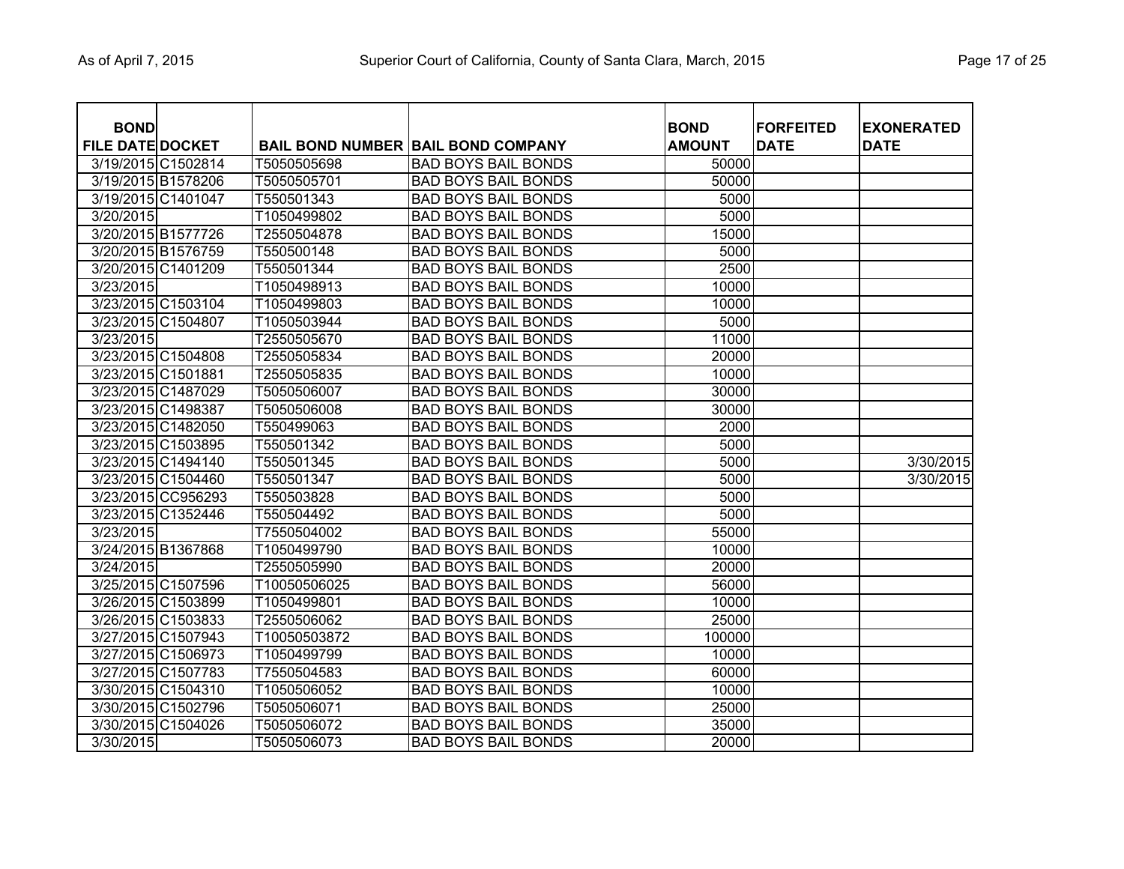| <b>BOND</b>             |                    |              |                                           | <b>BOND</b>   | <b>FORFEITED</b> | <b>EXONERATED</b> |
|-------------------------|--------------------|--------------|-------------------------------------------|---------------|------------------|-------------------|
| <b>FILE DATE DOCKET</b> |                    |              | <b>BAIL BOND NUMBER BAIL BOND COMPANY</b> | <b>AMOUNT</b> | <b>DATE</b>      | <b>DATE</b>       |
|                         | 3/19/2015 C1502814 | T5050505698  | <b>BAD BOYS BAIL BONDS</b>                | 50000         |                  |                   |
|                         | 3/19/2015 B1578206 | T5050505701  | <b>BAD BOYS BAIL BONDS</b>                | 50000         |                  |                   |
|                         | 3/19/2015 C1401047 | T550501343   | <b>BAD BOYS BAIL BONDS</b>                | 5000          |                  |                   |
| 3/20/2015               |                    | T1050499802  | <b>BAD BOYS BAIL BONDS</b>                | 5000          |                  |                   |
|                         | 3/20/2015 B1577726 | T2550504878  | <b>BAD BOYS BAIL BONDS</b>                | 15000         |                  |                   |
|                         | 3/20/2015 B1576759 | T550500148   | <b>BAD BOYS BAIL BONDS</b>                | 5000          |                  |                   |
|                         | 3/20/2015 C1401209 | T550501344   | <b>BAD BOYS BAIL BONDS</b>                | 2500          |                  |                   |
| 3/23/2015               |                    | T1050498913  | <b>BAD BOYS BAIL BONDS</b>                | 10000         |                  |                   |
|                         | 3/23/2015 C1503104 | T1050499803  | <b>BAD BOYS BAIL BONDS</b>                | 10000         |                  |                   |
|                         | 3/23/2015 C1504807 | T1050503944  | <b>BAD BOYS BAIL BONDS</b>                | 5000          |                  |                   |
| 3/23/2015               |                    | T2550505670  | <b>BAD BOYS BAIL BONDS</b>                | 11000         |                  |                   |
|                         | 3/23/2015 C1504808 | T2550505834  | <b>BAD BOYS BAIL BONDS</b>                | 20000         |                  |                   |
| 3/23/2015 C1501881      |                    | T2550505835  | <b>BAD BOYS BAIL BONDS</b>                | 10000         |                  |                   |
|                         | 3/23/2015 C1487029 | T5050506007  | <b>BAD BOYS BAIL BONDS</b>                | 30000         |                  |                   |
|                         | 3/23/2015 C1498387 | T5050506008  | <b>BAD BOYS BAIL BONDS</b>                | 30000         |                  |                   |
|                         | 3/23/2015 C1482050 | T550499063   | <b>BAD BOYS BAIL BONDS</b>                | 2000          |                  |                   |
|                         | 3/23/2015 C1503895 | T550501342   | <b>BAD BOYS BAIL BONDS</b>                | 5000          |                  |                   |
|                         | 3/23/2015 C1494140 | T550501345   | <b>BAD BOYS BAIL BONDS</b>                | 5000          |                  | 3/30/2015         |
|                         | 3/23/2015 C1504460 | T550501347   | <b>BAD BOYS BAIL BONDS</b>                | 5000          |                  | 3/30/2015         |
|                         | 3/23/2015 CC956293 | T550503828   | <b>BAD BOYS BAIL BONDS</b>                | 5000          |                  |                   |
|                         | 3/23/2015 C1352446 | T550504492   | <b>BAD BOYS BAIL BONDS</b>                | 5000          |                  |                   |
| 3/23/2015               |                    | T7550504002  | <b>BAD BOYS BAIL BONDS</b>                | 55000         |                  |                   |
| 3/24/2015 B1367868      |                    | T1050499790  | <b>BAD BOYS BAIL BONDS</b>                | 10000         |                  |                   |
| 3/24/2015               |                    | T2550505990  | <b>BAD BOYS BAIL BONDS</b>                | 20000         |                  |                   |
|                         | 3/25/2015 C1507596 | T10050506025 | <b>BAD BOYS BAIL BONDS</b>                | 56000         |                  |                   |
|                         | 3/26/2015 C1503899 | T1050499801  | <b>BAD BOYS BAIL BONDS</b>                | 10000         |                  |                   |
|                         | 3/26/2015 C1503833 | T2550506062  | <b>BAD BOYS BAIL BONDS</b>                | 25000         |                  |                   |
|                         | 3/27/2015 C1507943 | T10050503872 | <b>BAD BOYS BAIL BONDS</b>                | 100000        |                  |                   |
|                         | 3/27/2015 C1506973 | T1050499799  | <b>BAD BOYS BAIL BONDS</b>                | 10000         |                  |                   |
|                         | 3/27/2015 C1507783 | T7550504583  | <b>BAD BOYS BAIL BONDS</b>                | 60000         |                  |                   |
|                         | 3/30/2015 C1504310 | T1050506052  | <b>BAD BOYS BAIL BONDS</b>                | 10000         |                  |                   |
|                         | 3/30/2015 C1502796 | T5050506071  | <b>BAD BOYS BAIL BONDS</b>                | 25000         |                  |                   |
|                         | 3/30/2015 C1504026 | T5050506072  | <b>BAD BOYS BAIL BONDS</b>                | 35000         |                  |                   |
| 3/30/2015               |                    | T5050506073  | <b>BAD BOYS BAIL BONDS</b>                | 20000         |                  |                   |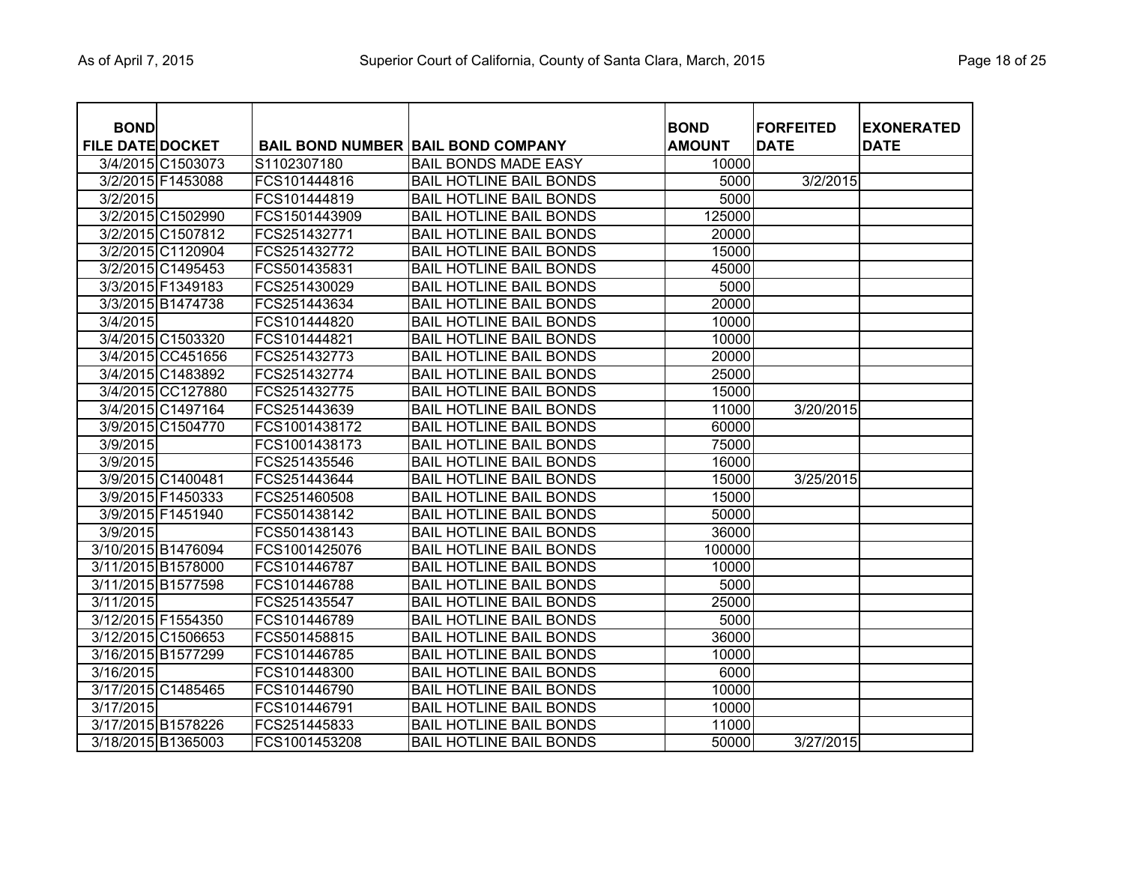| <b>BOND</b>             |                    |               |                                           | <b>BOND</b>   | <b>FORFEITED</b> | <b>EXONERATED</b> |
|-------------------------|--------------------|---------------|-------------------------------------------|---------------|------------------|-------------------|
| <b>FILE DATE DOCKET</b> |                    |               | <b>BAIL BOND NUMBER BAIL BOND COMPANY</b> | <b>AMOUNT</b> | <b>DATE</b>      | <b>DATE</b>       |
|                         | 3/4/2015 C1503073  | S1102307180   | <b>BAIL BONDS MADE EASY</b>               | 10000         |                  |                   |
|                         | 3/2/2015 F1453088  | FCS101444816  | <b>BAIL HOTLINE BAIL BONDS</b>            | 5000          | 3/2/2015         |                   |
| 3/2/2015                |                    | FCS101444819  | <b>BAIL HOTLINE BAIL BONDS</b>            | 5000          |                  |                   |
|                         | 3/2/2015 C1502990  | FCS1501443909 | <b>BAIL HOTLINE BAIL BONDS</b>            | 125000        |                  |                   |
|                         | 3/2/2015 C1507812  | FCS251432771  | <b>BAIL HOTLINE BAIL BONDS</b>            | 20000         |                  |                   |
|                         | 3/2/2015 C1120904  | FCS251432772  | <b>BAIL HOTLINE BAIL BONDS</b>            | 15000         |                  |                   |
|                         | 3/2/2015 C1495453  | FCS501435831  | <b>BAIL HOTLINE BAIL BONDS</b>            | 45000         |                  |                   |
|                         | 3/3/2015 F1349183  | FCS251430029  | <b>BAIL HOTLINE BAIL BONDS</b>            | 5000          |                  |                   |
|                         | 3/3/2015 B1474738  | FCS251443634  | <b>BAIL HOTLINE BAIL BONDS</b>            | 20000         |                  |                   |
| 3/4/2015                |                    | FCS101444820  | <b>BAIL HOTLINE BAIL BONDS</b>            | 10000         |                  |                   |
|                         | 3/4/2015 C1503320  | FCS101444821  | <b>BAIL HOTLINE BAIL BONDS</b>            | 10000         |                  |                   |
|                         | 3/4/2015 CC451656  | FCS251432773  | <b>BAIL HOTLINE BAIL BONDS</b>            | 20000         |                  |                   |
|                         | 3/4/2015 C1483892  | FCS251432774  | <b>BAIL HOTLINE BAIL BONDS</b>            | 25000         |                  |                   |
|                         | 3/4/2015 CC127880  | FCS251432775  | <b>BAIL HOTLINE BAIL BONDS</b>            | 15000         |                  |                   |
|                         | 3/4/2015 C1497164  | FCS251443639  | <b>BAIL HOTLINE BAIL BONDS</b>            | 11000         | 3/20/2015        |                   |
|                         | 3/9/2015 C1504770  | FCS1001438172 | <b>BAIL HOTLINE BAIL BONDS</b>            | 60000         |                  |                   |
| 3/9/2015                |                    | FCS1001438173 | <b>BAIL HOTLINE BAIL BONDS</b>            | 75000         |                  |                   |
| 3/9/2015                |                    | FCS251435546  | <b>BAIL HOTLINE BAIL BONDS</b>            | 16000         |                  |                   |
|                         | 3/9/2015 C1400481  | FCS251443644  | <b>BAIL HOTLINE BAIL BONDS</b>            | 15000         | 3/25/2015        |                   |
|                         | 3/9/2015 F1450333  | FCS251460508  | <b>BAIL HOTLINE BAIL BONDS</b>            | 15000         |                  |                   |
|                         | 3/9/2015 F1451940  | FCS501438142  | <b>BAIL HOTLINE BAIL BONDS</b>            | 50000         |                  |                   |
| 3/9/2015                |                    | FCS501438143  | <b>BAIL HOTLINE BAIL BONDS</b>            | 36000         |                  |                   |
|                         | 3/10/2015 B1476094 | FCS1001425076 | <b>BAIL HOTLINE BAIL BONDS</b>            | 100000        |                  |                   |
|                         | 3/11/2015 B1578000 | FCS101446787  | <b>BAIL HOTLINE BAIL BONDS</b>            | 10000         |                  |                   |
|                         | 3/11/2015 B1577598 | FCS101446788  | <b>BAIL HOTLINE BAIL BONDS</b>            | 5000          |                  |                   |
| 3/11/2015               |                    | FCS251435547  | <b>BAIL HOTLINE BAIL BONDS</b>            | 25000         |                  |                   |
| 3/12/2015 F1554350      |                    | FCS101446789  | <b>BAIL HOTLINE BAIL BONDS</b>            | 5000          |                  |                   |
|                         | 3/12/2015 C1506653 | FCS501458815  | <b>BAIL HOTLINE BAIL BONDS</b>            | 36000         |                  |                   |
|                         | 3/16/2015 B1577299 | FCS101446785  | <b>BAIL HOTLINE BAIL BONDS</b>            | 10000         |                  |                   |
| 3/16/2015               |                    | FCS101448300  | <b>BAIL HOTLINE BAIL BONDS</b>            | 6000          |                  |                   |
|                         | 3/17/2015 C1485465 | FCS101446790  | <b>BAIL HOTLINE BAIL BONDS</b>            | 10000         |                  |                   |
| 3/17/2015               |                    | FCS101446791  | <b>BAIL HOTLINE BAIL BONDS</b>            | 10000         |                  |                   |
|                         | 3/17/2015 B1578226 | FCS251445833  | <b>BAIL HOTLINE BAIL BONDS</b>            | 11000         |                  |                   |
|                         | 3/18/2015 B1365003 | FCS1001453208 | <b>BAIL HOTLINE BAIL BONDS</b>            | 50000         | 3/27/2015        |                   |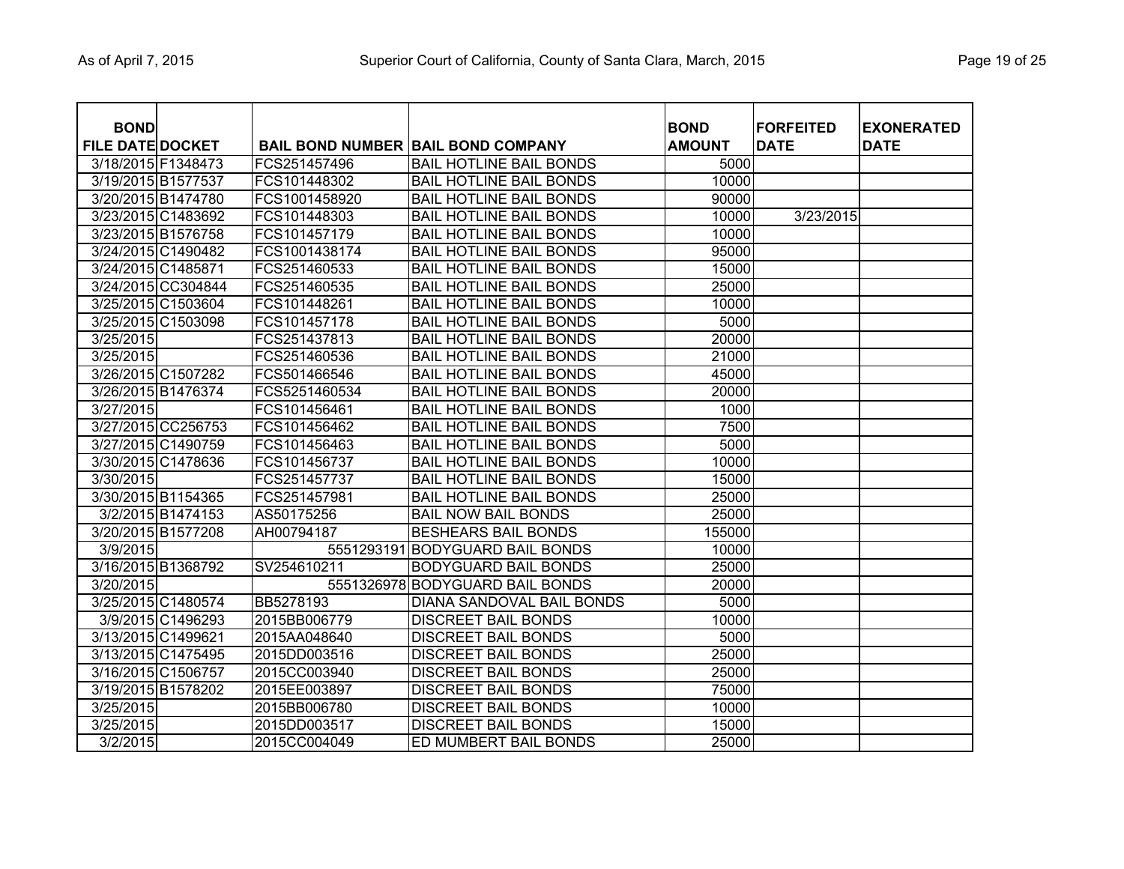| <b>BOND</b>             |                    |               |                                           | <b>BOND</b>   | <b>IFORFEITED</b> | <b>EXONERATED</b> |
|-------------------------|--------------------|---------------|-------------------------------------------|---------------|-------------------|-------------------|
| <b>FILE DATE DOCKET</b> |                    |               | <b>BAIL BOND NUMBER BAIL BOND COMPANY</b> | <b>AMOUNT</b> | <b>DATE</b>       | <b>DATE</b>       |
| 3/18/2015 F1348473      |                    | FCS251457496  | <b>BAIL HOTLINE BAIL BONDS</b>            | 5000          |                   |                   |
| 3/19/2015 B1577537      |                    | FCS101448302  | <b>BAIL HOTLINE BAIL BONDS</b>            | 10000         |                   |                   |
|                         | 3/20/2015 B1474780 | FCS1001458920 | <b>BAIL HOTLINE BAIL BONDS</b>            | 90000         |                   |                   |
|                         | 3/23/2015 C1483692 | FCS101448303  | <b>BAIL HOTLINE BAIL BONDS</b>            | 10000         | 3/23/2015         |                   |
|                         | 3/23/2015 B1576758 | FCS101457179  | <b>BAIL HOTLINE BAIL BONDS</b>            | 10000         |                   |                   |
|                         | 3/24/2015 C1490482 | FCS1001438174 | <b>BAIL HOTLINE BAIL BONDS</b>            | 95000         |                   |                   |
| 3/24/2015 C1485871      |                    | FCS251460533  | <b>BAIL HOTLINE BAIL BONDS</b>            | 15000         |                   |                   |
|                         | 3/24/2015 CC304844 | FCS251460535  | <b>BAIL HOTLINE BAIL BONDS</b>            | 25000         |                   |                   |
| 3/25/2015 C1503604      |                    | FCS101448261  | <b>BAIL HOTLINE BAIL BONDS</b>            | 10000         |                   |                   |
|                         | 3/25/2015 C1503098 | FCS101457178  | <b>BAIL HOTLINE BAIL BONDS</b>            | 5000          |                   |                   |
| 3/25/2015               |                    | FCS251437813  | <b>BAIL HOTLINE BAIL BONDS</b>            | 20000         |                   |                   |
| 3/25/2015               |                    | FCS251460536  | <b>BAIL HOTLINE BAIL BONDS</b>            | 21000         |                   |                   |
|                         | 3/26/2015 C1507282 | FCS501466546  | <b>BAIL HOTLINE BAIL BONDS</b>            | 45000         |                   |                   |
| 3/26/2015 B1476374      |                    | FCS5251460534 | <b>BAIL HOTLINE BAIL BONDS</b>            | 20000         |                   |                   |
| 3/27/2015               |                    | FCS101456461  | <b>BAIL HOTLINE BAIL BONDS</b>            | 1000          |                   |                   |
|                         | 3/27/2015 CC256753 | FCS101456462  | <b>BAIL HOTLINE BAIL BONDS</b>            | 7500          |                   |                   |
|                         | 3/27/2015 C1490759 | FCS101456463  | <b>BAIL HOTLINE BAIL BONDS</b>            | 5000          |                   |                   |
|                         | 3/30/2015 C1478636 | FCS101456737  | <b>BAIL HOTLINE BAIL BONDS</b>            | 10000         |                   |                   |
| 3/30/2015               |                    | FCS251457737  | <b>BAIL HOTLINE BAIL BONDS</b>            | 15000         |                   |                   |
|                         | 3/30/2015 B1154365 | FCS251457981  | <b>BAIL HOTLINE BAIL BONDS</b>            | 25000         |                   |                   |
|                         | 3/2/2015 B1474153  | AS50175256    | <b>BAIL NOW BAIL BONDS</b>                | 25000         |                   |                   |
|                         | 3/20/2015 B1577208 | AH00794187    | <b>BESHEARS BAIL BONDS</b>                | 155000        |                   |                   |
| 3/9/2015                |                    | 5551293191    | <b>BODYGUARD BAIL BONDS</b>               | 10000         |                   |                   |
| 3/16/2015 B1368792      |                    | SV254610211   | <b>BODYGUARD BAIL BONDS</b>               | 25000         |                   |                   |
| 3/20/2015               |                    |               | 5551326978 BODYGUARD BAIL BONDS           | 20000         |                   |                   |
|                         | 3/25/2015 C1480574 | BB5278193     | DIANA SANDOVAL BAIL BONDS                 | 5000          |                   |                   |
|                         | 3/9/2015 C1496293  | 2015BB006779  | <b>DISCREET BAIL BONDS</b>                | 10000         |                   |                   |
| 3/13/2015 C1499621      |                    | 2015AA048640  | <b>DISCREET BAIL BONDS</b>                | 5000          |                   |                   |
|                         | 3/13/2015 C1475495 | 2015DD003516  | <b>DISCREET BAIL BONDS</b>                | 25000         |                   |                   |
|                         | 3/16/2015 C1506757 | 2015CC003940  | <b>DISCREET BAIL BONDS</b>                | 25000         |                   |                   |
|                         | 3/19/2015 B1578202 | 2015EE003897  | <b>DISCREET BAIL BONDS</b>                | 75000         |                   |                   |
| 3/25/2015               |                    | 2015BB006780  | <b>DISCREET BAIL BONDS</b>                | 10000         |                   |                   |
| 3/25/2015               |                    | 2015DD003517  | <b>DISCREET BAIL BONDS</b>                | 15000         |                   |                   |
| 3/2/2015                |                    | 2015CC004049  | ED MUMBERT BAIL BONDS                     | 25000         |                   |                   |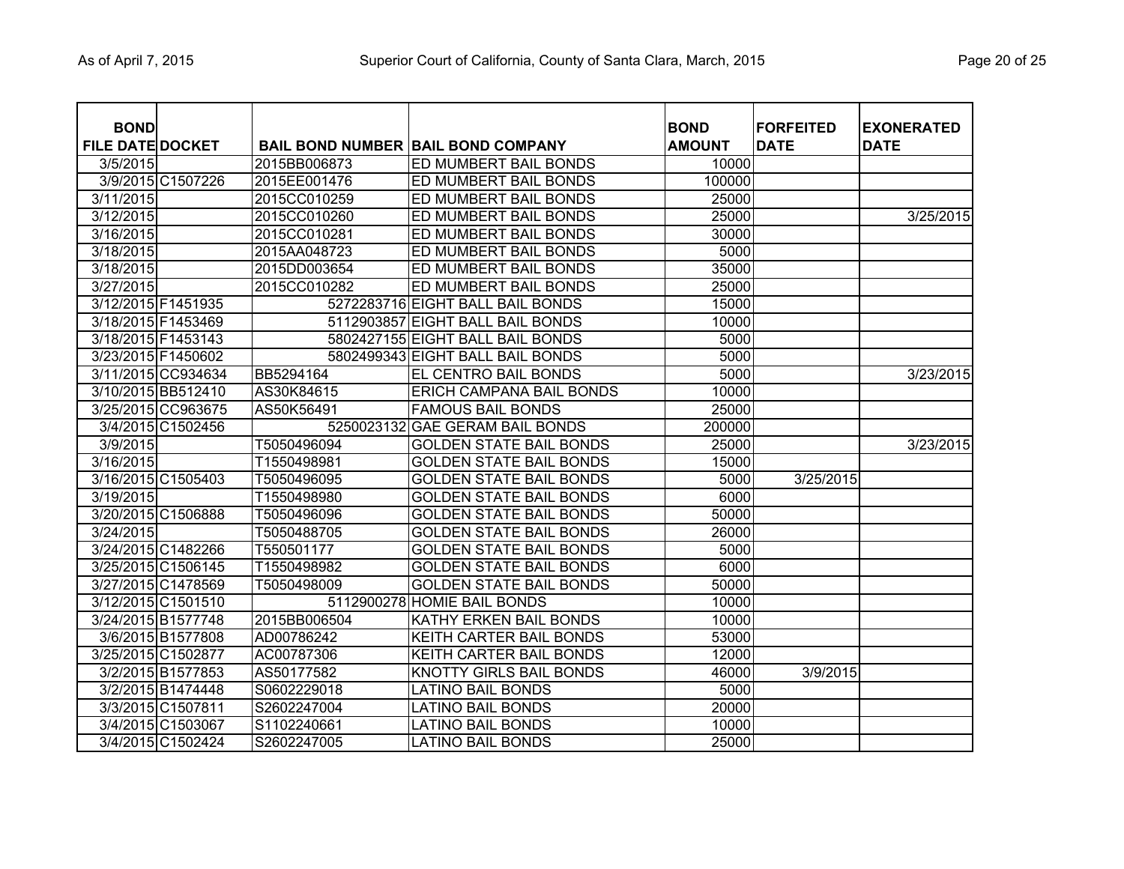| <b>BOND</b><br><b>FILE DATE DOCKET</b> |                    |              | <b>BAIL BOND NUMBER BAIL BOND COMPANY</b> | <b>BOND</b><br><b>AMOUNT</b> | <b>FORFEITED</b><br><b>DATE</b> | <b>EXONERATED</b><br><b>DATE</b> |
|----------------------------------------|--------------------|--------------|-------------------------------------------|------------------------------|---------------------------------|----------------------------------|
| 3/5/2015                               |                    | 2015BB006873 | ED MUMBERT BAIL BONDS                     | 10000                        |                                 |                                  |
|                                        | 3/9/2015 C1507226  | 2015EE001476 | ED MUMBERT BAIL BONDS                     | 100000                       |                                 |                                  |
| 3/11/2015                              |                    | 2015CC010259 | ED MUMBERT BAIL BONDS                     | 25000                        |                                 |                                  |
| 3/12/2015                              |                    | 2015CC010260 | ED MUMBERT BAIL BONDS                     | 25000                        |                                 | 3/25/2015                        |
| 3/16/2015                              |                    | 2015CC010281 | ED MUMBERT BAIL BONDS                     | 30000                        |                                 |                                  |
| 3/18/2015                              |                    | 2015AA048723 | ED MUMBERT BAIL BONDS                     | 5000                         |                                 |                                  |
| 3/18/2015                              |                    | 2015DD003654 | ED MUMBERT BAIL BONDS                     | 35000                        |                                 |                                  |
| 3/27/2015                              |                    | 2015CC010282 | ED MUMBERT BAIL BONDS                     | 25000                        |                                 |                                  |
| 3/12/2015 F1451935                     |                    |              | 5272283716 EIGHT BALL BAIL BONDS          | 15000                        |                                 |                                  |
| 3/18/2015 F1453469                     |                    |              | 5112903857 EIGHT BALL BAIL BONDS          | 10000                        |                                 |                                  |
| 3/18/2015 F1453143                     |                    |              | 5802427155 EIGHT BALL BAIL BONDS          | 5000                         |                                 |                                  |
| 3/23/2015 F1450602                     |                    |              | 5802499343 EIGHT BALL BAIL BONDS          | 5000                         |                                 |                                  |
|                                        | 3/11/2015 CC934634 | BB5294164    | EL CENTRO BAIL BONDS                      | 5000                         |                                 | 3/23/2015                        |
|                                        | 3/10/2015 BB512410 | AS30K84615   | <b>ERICH CAMPANA BAIL BONDS</b>           | 10000                        |                                 |                                  |
|                                        | 3/25/2015 CC963675 | AS50K56491   | <b>FAMOUS BAIL BONDS</b>                  | 25000                        |                                 |                                  |
|                                        | 3/4/2015 C1502456  | 5250023132   | <b>GAE GERAM BAIL BONDS</b>               | 200000                       |                                 |                                  |
| 3/9/2015                               |                    | T5050496094  | <b>GOLDEN STATE BAIL BONDS</b>            | 25000                        |                                 | 3/23/2015                        |
| 3/16/2015                              |                    | T1550498981  | <b>GOLDEN STATE BAIL BONDS</b>            | 15000                        |                                 |                                  |
|                                        | 3/16/2015 C1505403 | T5050496095  | <b>GOLDEN STATE BAIL BONDS</b>            | 5000                         | 3/25/2015                       |                                  |
| 3/19/2015                              |                    | T1550498980  | <b>GOLDEN STATE BAIL BONDS</b>            | 6000                         |                                 |                                  |
|                                        | 3/20/2015 C1506888 | T5050496096  | <b>GOLDEN STATE BAIL BONDS</b>            | 50000                        |                                 |                                  |
| 3/24/2015                              |                    | T5050488705  | <b>GOLDEN STATE BAIL BONDS</b>            | 26000                        |                                 |                                  |
|                                        | 3/24/2015 C1482266 | T550501177   | <b>GOLDEN STATE BAIL BONDS</b>            | 5000                         |                                 |                                  |
|                                        | 3/25/2015 C1506145 | T1550498982  | <b>GOLDEN STATE BAIL BONDS</b>            | 6000                         |                                 |                                  |
|                                        | 3/27/2015 C1478569 | T5050498009  | <b>GOLDEN STATE BAIL BONDS</b>            | 50000                        |                                 |                                  |
|                                        | 3/12/2015 C1501510 |              | 5112900278 HOMIE BAIL BONDS               | 10000                        |                                 |                                  |
|                                        | 3/24/2015 B1577748 | 2015BB006504 | KATHY ERKEN BAIL BONDS                    | 10000                        |                                 |                                  |
|                                        | 3/6/2015 B1577808  | AD00786242   | <b>KEITH CARTER BAIL BONDS</b>            | 53000                        |                                 |                                  |
|                                        | 3/25/2015 C1502877 | AC00787306   | <b>KEITH CARTER BAIL BONDS</b>            | 12000                        |                                 |                                  |
|                                        | 3/2/2015 B1577853  | AS50177582   | <b>KNOTTY GIRLS BAIL BONDS</b>            | 46000                        | 3/9/2015                        |                                  |
|                                        | 3/2/2015 B1474448  | S0602229018  | <b>LATINO BAIL BONDS</b>                  | 5000                         |                                 |                                  |
|                                        | 3/3/2015 C1507811  | S2602247004  | <b>LATINO BAIL BONDS</b>                  | 20000                        |                                 |                                  |
|                                        | 3/4/2015 C1503067  | S1102240661  | LATINO BAIL BONDS                         | 10000                        |                                 |                                  |
|                                        | 3/4/2015 C1502424  | S2602247005  | LATINO BAIL BONDS                         | 25000                        |                                 |                                  |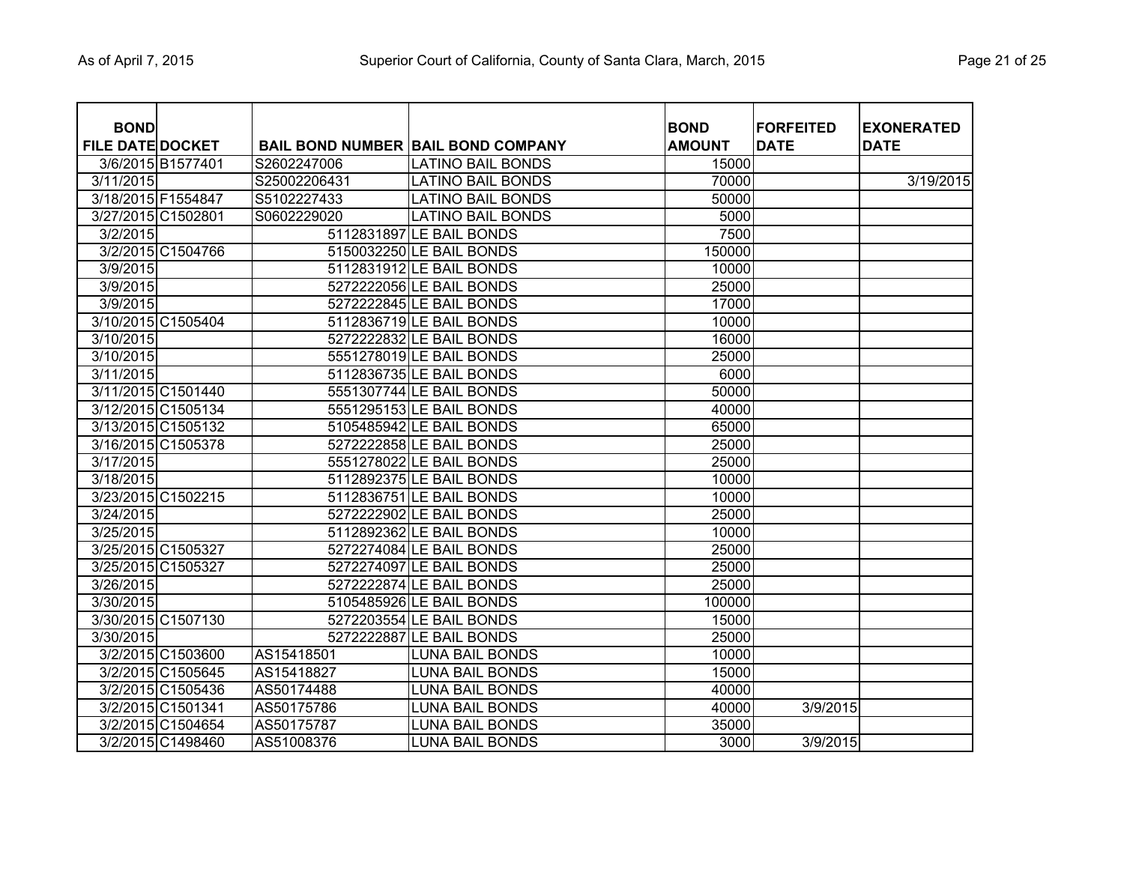| <b>BOND</b>             |                    |              |                                           | <b>BOND</b>   | <b>FORFEITED</b> | <b>EXONERATED</b> |
|-------------------------|--------------------|--------------|-------------------------------------------|---------------|------------------|-------------------|
| <b>FILE DATE DOCKET</b> |                    |              | <b>BAIL BOND NUMBER BAIL BOND COMPANY</b> | <b>AMOUNT</b> | <b>DATE</b>      | <b>DATE</b>       |
|                         | 3/6/2015 B1577401  | S2602247006  | <b>LATINO BAIL BONDS</b>                  | 15000         |                  |                   |
| 3/11/2015               |                    | S25002206431 | <b>LATINO BAIL BONDS</b>                  | 70000         |                  | 3/19/2015         |
|                         | 3/18/2015 F1554847 | S5102227433  | <b>LATINO BAIL BONDS</b>                  | 50000         |                  |                   |
|                         | 3/27/2015 C1502801 | S0602229020  | <b>LATINO BAIL BONDS</b>                  | 5000          |                  |                   |
| 3/2/2015                |                    |              | 5112831897 LE BAIL BONDS                  | 7500          |                  |                   |
|                         | 3/2/2015 C1504766  |              | 5150032250 LE BAIL BONDS                  | 150000        |                  |                   |
| 3/9/2015                |                    |              | 5112831912 LE BAIL BONDS                  | 10000         |                  |                   |
| 3/9/2015                |                    |              | 5272222056 LE BAIL BONDS                  | 25000         |                  |                   |
| 3/9/2015                |                    |              | 5272222845 LE BAIL BONDS                  | 17000         |                  |                   |
|                         | 3/10/2015 C1505404 |              | 5112836719 LE BAIL BONDS                  | 10000         |                  |                   |
| 3/10/2015               |                    |              | 5272222832 LE BAIL BONDS                  | 16000         |                  |                   |
| 3/10/2015               |                    |              | 5551278019 LE BAIL BONDS                  | 25000         |                  |                   |
| 3/11/2015               |                    |              | 5112836735 LE BAIL BONDS                  | 6000          |                  |                   |
|                         | 3/11/2015 C1501440 |              | 5551307744 LE BAIL BONDS                  | 50000         |                  |                   |
|                         | 3/12/2015 C1505134 |              | 5551295153 LE BAIL BONDS                  | 40000         |                  |                   |
|                         | 3/13/2015 C1505132 |              | 5105485942 LE BAIL BONDS                  | 65000         |                  |                   |
|                         | 3/16/2015 C1505378 |              | 5272222858 LE BAIL BONDS                  | 25000         |                  |                   |
| 3/17/2015               |                    |              | 5551278022 LE BAIL BONDS                  | 25000         |                  |                   |
| 3/18/2015               |                    |              | 5112892375 LE BAIL BONDS                  | 10000         |                  |                   |
|                         | 3/23/2015 C1502215 |              | 5112836751 LE BAIL BONDS                  | 10000         |                  |                   |
| 3/24/2015               |                    |              | 5272222902 LE BAIL BONDS                  | 25000         |                  |                   |
| 3/25/2015               |                    |              | 5112892362 LE BAIL BONDS                  | 10000         |                  |                   |
|                         | 3/25/2015 C1505327 |              | 5272274084 LE BAIL BONDS                  | 25000         |                  |                   |
|                         | 3/25/2015 C1505327 |              | 5272274097 LE BAIL BONDS                  | 25000         |                  |                   |
| 3/26/2015               |                    |              | 5272222874 LE BAIL BONDS                  | 25000         |                  |                   |
| 3/30/2015               |                    |              | 5105485926 LE BAIL BONDS                  | 100000        |                  |                   |
|                         | 3/30/2015 C1507130 |              | 5272203554 LE BAIL BONDS                  | 15000         |                  |                   |
| 3/30/2015               |                    |              | 5272222887 LE BAIL BONDS                  | 25000         |                  |                   |
|                         | 3/2/2015 C1503600  | AS15418501   | <b>LUNA BAIL BONDS</b>                    | 10000         |                  |                   |
|                         | 3/2/2015 C1505645  | AS15418827   | <b>LUNA BAIL BONDS</b>                    | 15000         |                  |                   |
|                         | 3/2/2015 C1505436  | AS50174488   | <b>LUNA BAIL BONDS</b>                    | 40000         |                  |                   |
|                         | 3/2/2015 C1501341  | AS50175786   | <b>LUNA BAIL BONDS</b>                    | 40000         | 3/9/2015         |                   |
|                         | 3/2/2015 C1504654  | AS50175787   | <b>LUNA BAIL BONDS</b>                    | 35000         |                  |                   |
|                         | 3/2/2015 C1498460  | AS51008376   | <b>LUNA BAIL BONDS</b>                    | 3000          | 3/9/2015         |                   |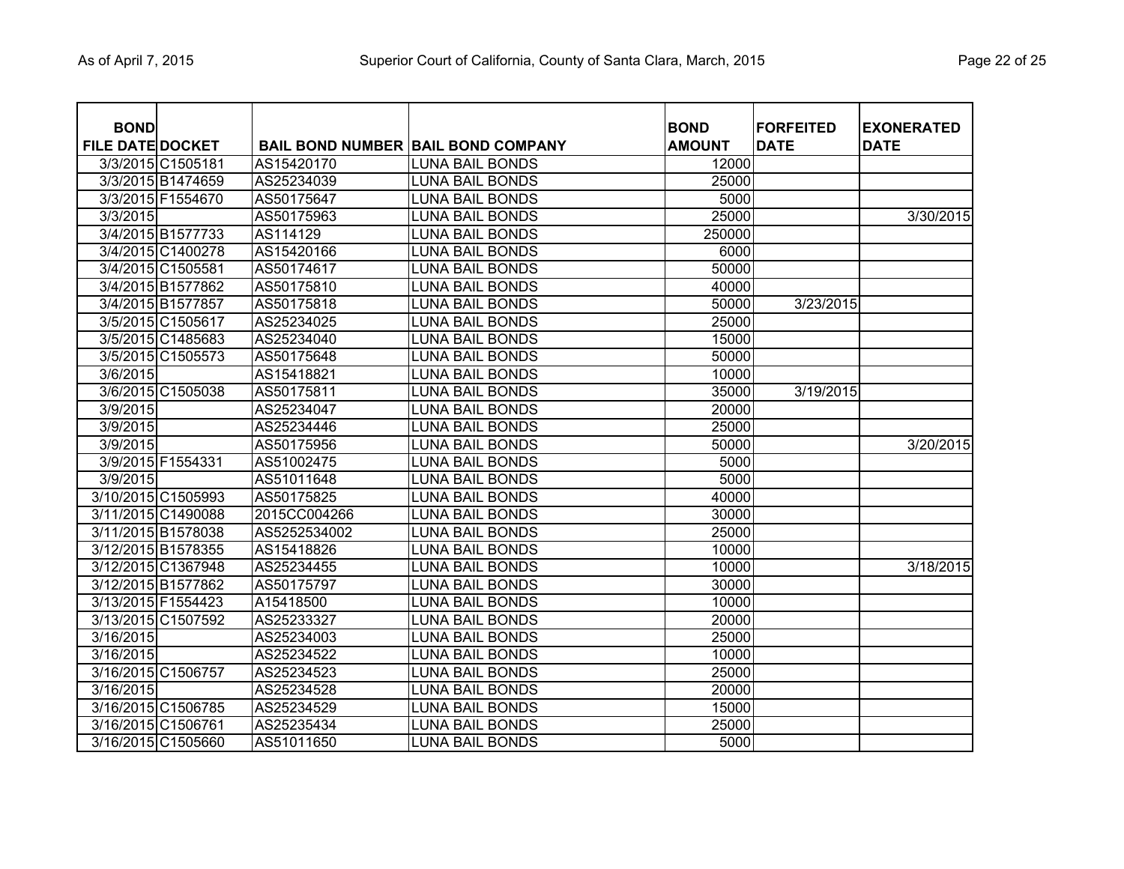| <b>BOND</b>             |                    |              |                                           | <b>BOND</b>   | <b>FORFEITED</b> | <b>EXONERATED</b> |
|-------------------------|--------------------|--------------|-------------------------------------------|---------------|------------------|-------------------|
| <b>FILE DATE DOCKET</b> |                    |              | <b>BAIL BOND NUMBER BAIL BOND COMPANY</b> | <b>AMOUNT</b> | <b>DATE</b>      | <b>DATE</b>       |
|                         | 3/3/2015 C1505181  | AS15420170   | <b>LUNA BAIL BONDS</b>                    | 12000         |                  |                   |
|                         | 3/3/2015 B1474659  | AS25234039   | <b>LUNA BAIL BONDS</b>                    | 25000         |                  |                   |
|                         | 3/3/2015 F1554670  | AS50175647   | <b>LUNA BAIL BONDS</b>                    | 5000          |                  |                   |
| 3/3/2015                |                    | AS50175963   | <b>LUNA BAIL BONDS</b>                    | 25000         |                  | 3/30/2015         |
|                         | 3/4/2015 B1577733  | AS114129     | <b>LUNA BAIL BONDS</b>                    | 250000        |                  |                   |
|                         | 3/4/2015 C1400278  | AS15420166   | <b>LUNA BAIL BONDS</b>                    | 6000          |                  |                   |
|                         | 3/4/2015 C1505581  | AS50174617   | <b>LUNA BAIL BONDS</b>                    | 50000         |                  |                   |
|                         | 3/4/2015 B1577862  | AS50175810   | <b>LUNA BAIL BONDS</b>                    | 40000         |                  |                   |
|                         | 3/4/2015 B1577857  | AS50175818   | <b>LUNA BAIL BONDS</b>                    | 50000         | 3/23/2015        |                   |
|                         | 3/5/2015 C1505617  | AS25234025   | <b>LUNA BAIL BONDS</b>                    | 25000         |                  |                   |
|                         | 3/5/2015 C1485683  | AS25234040   | <b>LUNA BAIL BONDS</b>                    | 15000         |                  |                   |
|                         | 3/5/2015 C1505573  | AS50175648   | <b>LUNA BAIL BONDS</b>                    | 50000         |                  |                   |
| 3/6/2015                |                    | AS15418821   | <b>LUNA BAIL BONDS</b>                    | 10000         |                  |                   |
|                         | 3/6/2015 C1505038  | AS50175811   | <b>LUNA BAIL BONDS</b>                    | 35000         | 3/19/2015        |                   |
| 3/9/2015                |                    | AS25234047   | <b>LUNA BAIL BONDS</b>                    | 20000         |                  |                   |
| 3/9/2015                |                    | AS25234446   | <b>LUNA BAIL BONDS</b>                    | 25000         |                  |                   |
| 3/9/2015                |                    | AS50175956   | <b>LUNA BAIL BONDS</b>                    | 50000         |                  | 3/20/2015         |
|                         | 3/9/2015 F1554331  | AS51002475   | <b>LUNA BAIL BONDS</b>                    | 5000          |                  |                   |
| 3/9/2015                |                    | AS51011648   | <b>LUNA BAIL BONDS</b>                    | 5000          |                  |                   |
|                         | 3/10/2015 C1505993 | AS50175825   | <b>LUNA BAIL BONDS</b>                    | 40000         |                  |                   |
|                         | 3/11/2015 C1490088 | 2015CC004266 | <b>LUNA BAIL BONDS</b>                    | 30000         |                  |                   |
|                         | 3/11/2015 B1578038 | AS5252534002 | <b>LUNA BAIL BONDS</b>                    | 25000         |                  |                   |
|                         | 3/12/2015 B1578355 | AS15418826   | <b>LUNA BAIL BONDS</b>                    | 10000         |                  |                   |
|                         | 3/12/2015 C1367948 | AS25234455   | <b>LUNA BAIL BONDS</b>                    | 10000         |                  | 3/18/2015         |
|                         | 3/12/2015 B1577862 | AS50175797   | <b>LUNA BAIL BONDS</b>                    | 30000         |                  |                   |
|                         | 3/13/2015 F1554423 | A15418500    | <b>LUNA BAIL BONDS</b>                    | 10000         |                  |                   |
|                         | 3/13/2015 C1507592 | AS25233327   | <b>LUNA BAIL BONDS</b>                    | 20000         |                  |                   |
| 3/16/2015               |                    | AS25234003   | <b>LUNA BAIL BONDS</b>                    | 25000         |                  |                   |
| 3/16/2015               |                    | AS25234522   | <b>LUNA BAIL BONDS</b>                    | 10000         |                  |                   |
|                         | 3/16/2015 C1506757 | AS25234523   | <b>LUNA BAIL BONDS</b>                    | 25000         |                  |                   |
| 3/16/2015               |                    | AS25234528   | <b>LUNA BAIL BONDS</b>                    | 20000         |                  |                   |
|                         | 3/16/2015 C1506785 | AS25234529   | <b>LUNA BAIL BONDS</b>                    | 15000         |                  |                   |
|                         | 3/16/2015 C1506761 | AS25235434   | <b>LUNA BAIL BONDS</b>                    | 25000         |                  |                   |
|                         | 3/16/2015 C1505660 | AS51011650   | <b>LUNA BAIL BONDS</b>                    | 5000          |                  |                   |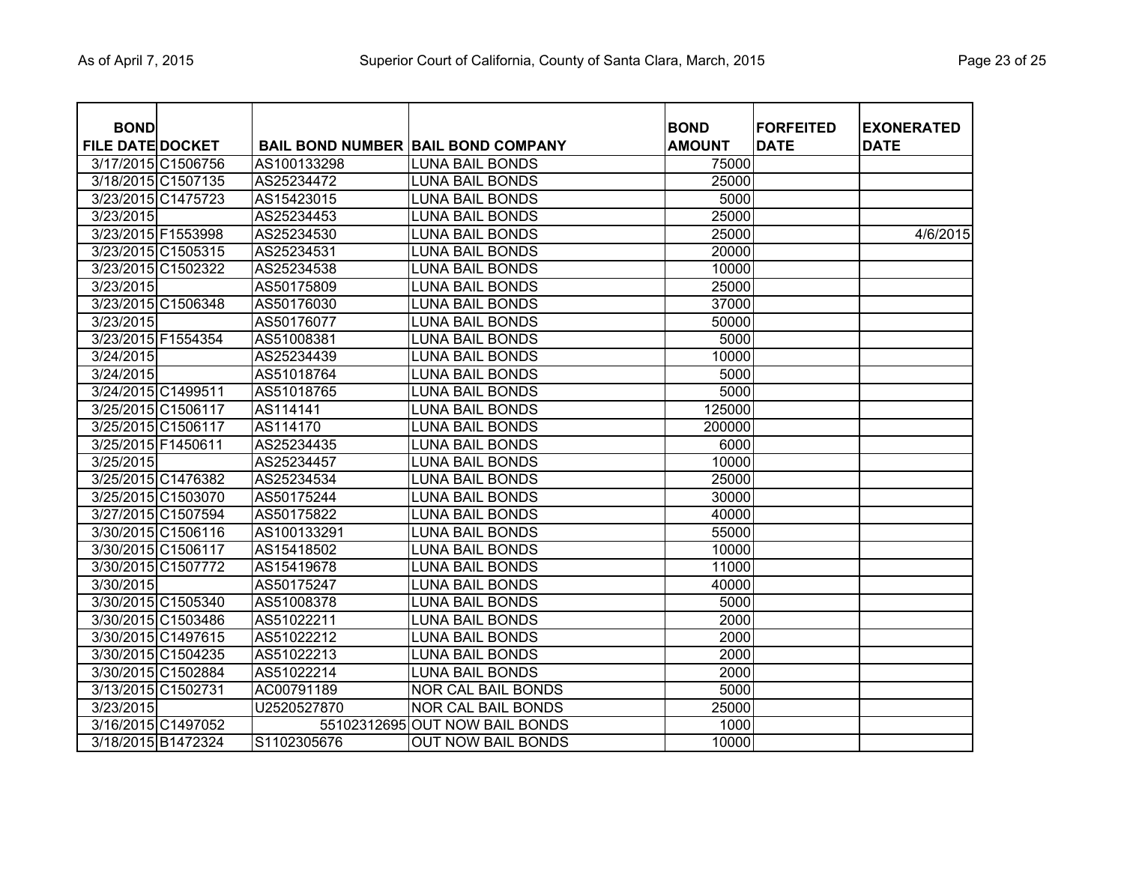| <b>BOND</b>             |                    |             |                                           | <b>BOND</b>   | <b>FORFEITED</b> | <b>EXONERATED</b> |
|-------------------------|--------------------|-------------|-------------------------------------------|---------------|------------------|-------------------|
| <b>FILE DATE DOCKET</b> |                    |             | <b>BAIL BOND NUMBER BAIL BOND COMPANY</b> | <b>AMOUNT</b> | <b>DATE</b>      | <b>DATE</b>       |
|                         | 3/17/2015 C1506756 | AS100133298 | <b>LUNA BAIL BONDS</b>                    | 75000         |                  |                   |
|                         | 3/18/2015 C1507135 | AS25234472  | <b>LUNA BAIL BONDS</b>                    | 25000         |                  |                   |
|                         | 3/23/2015 C1475723 | AS15423015  | <b>LUNA BAIL BONDS</b>                    | 5000          |                  |                   |
| 3/23/2015               |                    | AS25234453  | <b>LUNA BAIL BONDS</b>                    | 25000         |                  |                   |
| 3/23/2015 F1553998      |                    | AS25234530  | <b>LUNA BAIL BONDS</b>                    | 25000         |                  | 4/6/2015          |
|                         | 3/23/2015 C1505315 | AS25234531  | <b>LUNA BAIL BONDS</b>                    | 20000         |                  |                   |
|                         | 3/23/2015 C1502322 | AS25234538  | <b>LUNA BAIL BONDS</b>                    | 10000         |                  |                   |
| 3/23/2015               |                    | AS50175809  | <b>LUNA BAIL BONDS</b>                    | 25000         |                  |                   |
|                         | 3/23/2015 C1506348 | AS50176030  | <b>LUNA BAIL BONDS</b>                    | 37000         |                  |                   |
| 3/23/2015               |                    | AS50176077  | <b>LUNA BAIL BONDS</b>                    | 50000         |                  |                   |
| 3/23/2015 F1554354      |                    | AS51008381  | <b>LUNA BAIL BONDS</b>                    | 5000          |                  |                   |
| 3/24/2015               |                    | AS25234439  | <b>LUNA BAIL BONDS</b>                    | 10000         |                  |                   |
| 3/24/2015               |                    | AS51018764  | <b>LUNA BAIL BONDS</b>                    | 5000          |                  |                   |
| 3/24/2015 C1499511      |                    | AS51018765  | <b>LUNA BAIL BONDS</b>                    | 5000          |                  |                   |
| 3/25/2015 C1506117      |                    | AS114141    | LUNA BAIL BONDS                           | 125000        |                  |                   |
| 3/25/2015 C1506117      |                    | AS114170    | LUNA BAIL BONDS                           | 200000        |                  |                   |
| 3/25/2015 F1450611      |                    | AS25234435  | LUNA BAIL BONDS                           | 6000          |                  |                   |
| 3/25/2015               |                    | AS25234457  | LUNA BAIL BONDS                           | 10000         |                  |                   |
|                         | 3/25/2015 C1476382 | AS25234534  | LUNA BAIL BONDS                           | 25000         |                  |                   |
|                         | 3/25/2015 C1503070 | AS50175244  | LUNA BAIL BONDS                           | 30000         |                  |                   |
|                         | 3/27/2015 C1507594 | AS50175822  | LUNA BAIL BONDS                           | 40000         |                  |                   |
|                         | 3/30/2015 C1506116 | AS100133291 | LUNA BAIL BONDS                           | 55000         |                  |                   |
| 3/30/2015 C1506117      |                    | AS15418502  | <b>LUNA BAIL BONDS</b>                    | 10000         |                  |                   |
|                         | 3/30/2015 C1507772 | AS15419678  | LUNA BAIL BONDS                           | 11000         |                  |                   |
| 3/30/2015               |                    | AS50175247  | <b>LUNA BAIL BONDS</b>                    | 40000         |                  |                   |
|                         | 3/30/2015 C1505340 | AS51008378  | <b>LUNA BAIL BONDS</b>                    | 5000          |                  |                   |
|                         | 3/30/2015 C1503486 | AS51022211  | <b>LUNA BAIL BONDS</b>                    | 2000          |                  |                   |
|                         | 3/30/2015 C1497615 | AS51022212  | <b>LUNA BAIL BONDS</b>                    | 2000          |                  |                   |
|                         | 3/30/2015 C1504235 | AS51022213  | <b>LUNA BAIL BONDS</b>                    | 2000          |                  |                   |
|                         | 3/30/2015 C1502884 | AS51022214  | <b>LUNA BAIL BONDS</b>                    | 2000          |                  |                   |
| 3/13/2015 C1502731      |                    | AC00791189  | <b>NOR CAL BAIL BONDS</b>                 | 5000          |                  |                   |
| 3/23/2015               |                    | U2520527870 | <b>NOR CAL BAIL BONDS</b>                 | 25000         |                  |                   |
|                         | 3/16/2015 C1497052 |             | 55102312695 OUT NOW BAIL BONDS            | 1000          |                  |                   |
|                         | 3/18/2015 B1472324 | S1102305676 | <b>OUT NOW BAIL BONDS</b>                 | 10000         |                  |                   |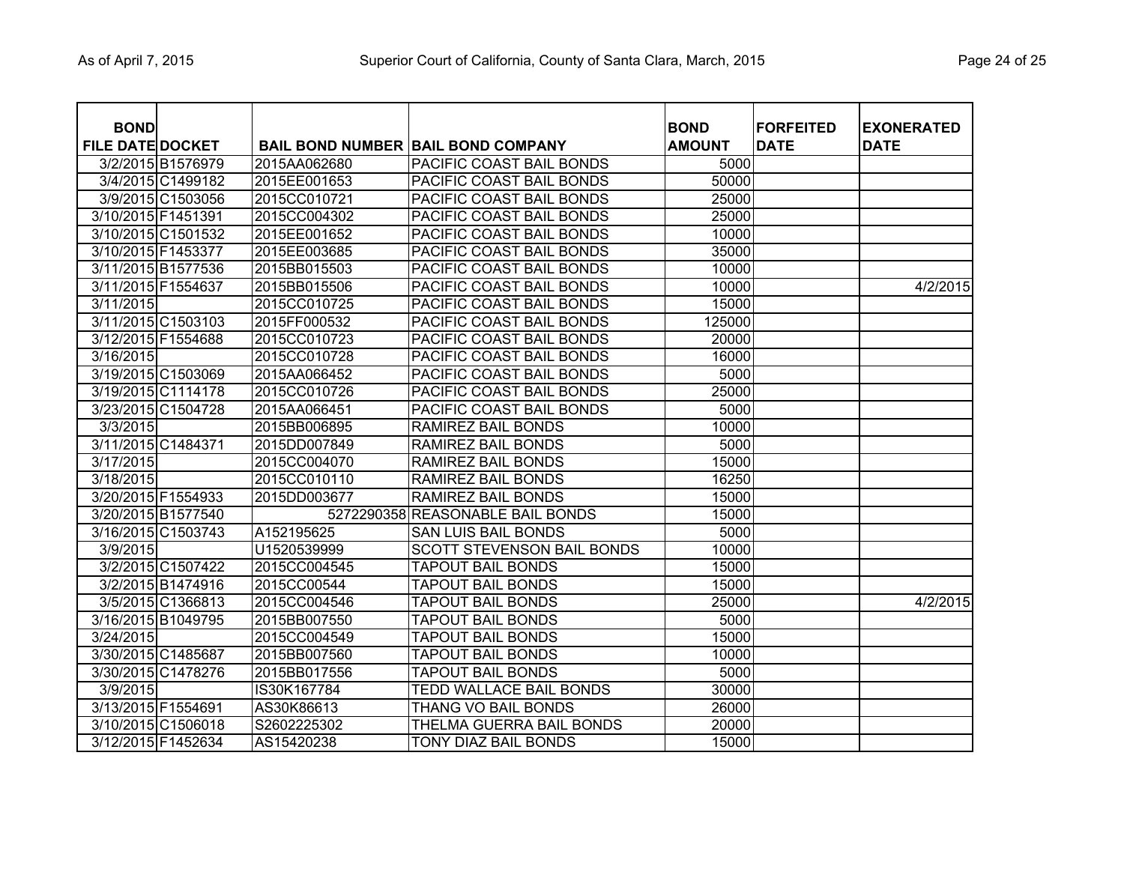| <b>BOND</b><br><b>FILE DATE DOCKET</b> |                    |              | <b>BAIL BOND NUMBER BAIL BOND COMPANY</b> | <b>BOND</b><br><b>AMOUNT</b> | <b>FORFEITED</b><br><b>DATE</b> | <b>EXONERATED</b><br><b>DATE</b> |
|----------------------------------------|--------------------|--------------|-------------------------------------------|------------------------------|---------------------------------|----------------------------------|
|                                        | 3/2/2015 B1576979  | 2015AA062680 | PACIFIC COAST BAIL BONDS                  | 5000                         |                                 |                                  |
|                                        | 3/4/2015 C1499182  | 2015EE001653 | PACIFIC COAST BAIL BONDS                  | 50000                        |                                 |                                  |
|                                        | 3/9/2015 C1503056  | 2015CC010721 | PACIFIC COAST BAIL BONDS                  | 25000                        |                                 |                                  |
| 3/10/2015 F1451391                     |                    | 2015CC004302 | PACIFIC COAST BAIL BONDS                  | 25000                        |                                 |                                  |
|                                        | 3/10/2015 C1501532 | 2015EE001652 | PACIFIC COAST BAIL BONDS                  | 10000                        |                                 |                                  |
| 3/10/2015 F1453377                     |                    | 2015EE003685 | PACIFIC COAST BAIL BONDS                  | 35000                        |                                 |                                  |
|                                        | 3/11/2015 B1577536 | 2015BB015503 | PACIFIC COAST BAIL BONDS                  | 10000                        |                                 |                                  |
| 3/11/2015 F1554637                     |                    | 2015BB015506 | PACIFIC COAST BAIL BONDS                  | 10000                        |                                 | 4/2/2015                         |
| 3/11/2015                              |                    | 2015CC010725 | PACIFIC COAST BAIL BONDS                  | 15000                        |                                 |                                  |
|                                        | 3/11/2015 C1503103 | 2015FF000532 | PACIFIC COAST BAIL BONDS                  | 125000                       |                                 |                                  |
| 3/12/2015 F1554688                     |                    | 2015CC010723 | PACIFIC COAST BAIL BONDS                  | 20000                        |                                 |                                  |
| 3/16/2015                              |                    | 2015CC010728 | PACIFIC COAST BAIL BONDS                  | 16000                        |                                 |                                  |
|                                        | 3/19/2015 C1503069 | 2015AA066452 | PACIFIC COAST BAIL BONDS                  | 5000                         |                                 |                                  |
|                                        | 3/19/2015 C1114178 | 2015CC010726 | PACIFIC COAST BAIL BONDS                  | 25000                        |                                 |                                  |
|                                        | 3/23/2015 C1504728 | 2015AA066451 | PACIFIC COAST BAIL BONDS                  | 5000                         |                                 |                                  |
| 3/3/2015                               |                    | 2015BB006895 | RAMIREZ BAIL BONDS                        | 10000                        |                                 |                                  |
| 3/11/2015 C1484371                     |                    | 2015DD007849 | RAMIREZ BAIL BONDS                        | 5000                         |                                 |                                  |
| 3/17/2015                              |                    | 2015CC004070 | RAMIREZ BAIL BONDS                        | 15000                        |                                 |                                  |
| 3/18/2015                              |                    | 2015CC010110 | RAMIREZ BAIL BONDS                        | 16250                        |                                 |                                  |
|                                        | 3/20/2015 F1554933 | 2015DD003677 | RAMIREZ BAIL BONDS                        | 15000                        |                                 |                                  |
|                                        | 3/20/2015 B1577540 |              | 5272290358 REASONABLE BAIL BONDS          | 15000                        |                                 |                                  |
|                                        | 3/16/2015 C1503743 | A152195625   | <b>SAN LUIS BAIL BONDS</b>                | 5000                         |                                 |                                  |
| 3/9/2015                               |                    | U1520539999  | <b>SCOTT STEVENSON BAIL BONDS</b>         | 10000                        |                                 |                                  |
|                                        | 3/2/2015 C1507422  | 2015CC004545 | <b>TAPOUT BAIL BONDS</b>                  | 15000                        |                                 |                                  |
|                                        | 3/2/2015 B1474916  | 2015CC00544  | <b>TAPOUT BAIL BONDS</b>                  | 15000                        |                                 |                                  |
|                                        | 3/5/2015 C1366813  | 2015CC004546 | <b>TAPOUT BAIL BONDS</b>                  | 25000                        |                                 | 4/2/2015                         |
|                                        | 3/16/2015 B1049795 | 2015BB007550 | <b>TAPOUT BAIL BONDS</b>                  | 5000                         |                                 |                                  |
| 3/24/2015                              |                    | 2015CC004549 | <b>TAPOUT BAIL BONDS</b>                  | 15000                        |                                 |                                  |
|                                        | 3/30/2015 C1485687 | 2015BB007560 | <b>TAPOUT BAIL BONDS</b>                  | 10000                        |                                 |                                  |
|                                        | 3/30/2015 C1478276 | 2015BB017556 | <b>TAPOUT BAIL BONDS</b>                  | 5000                         |                                 |                                  |
| 3/9/2015                               |                    | IS30K167784  | TEDD WALLACE BAIL BONDS                   | 30000                        |                                 |                                  |
| 3/13/2015 F1554691                     |                    | AS30K86613   | THANG VO BAIL BONDS                       | 26000                        |                                 |                                  |
|                                        | 3/10/2015 C1506018 | S2602225302  | THELMA GUERRA BAIL BONDS                  | 20000                        |                                 |                                  |
| 3/12/2015 F1452634                     |                    | AS15420238   | TONY DIAZ BAIL BONDS                      | 15000                        |                                 |                                  |